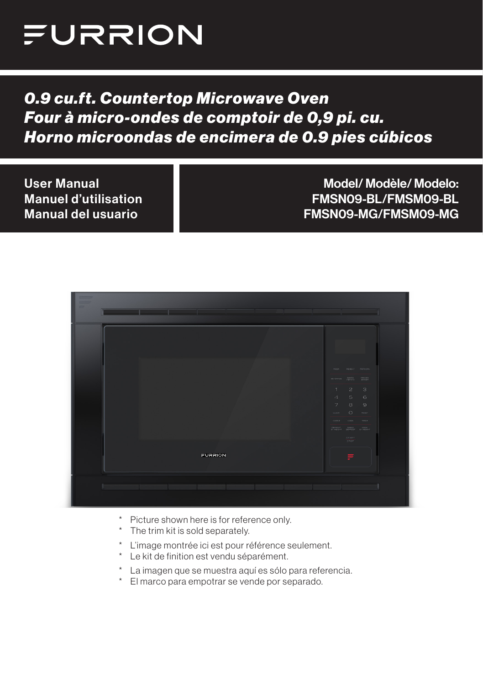

## *0.9 cu.ft. Countertop Microwave Oven Four à micro-ondes de comptoir de 0,9 pi. cu. Horno microondas de encimera de 0.9 pies cúbicos*

User Manual Manuel d'utilisation Manual del usuario Model/ Modèle/ Modelo: FMSN09-BL/FMSM09-BL FMSN09-MG/FMSM09-MG

| $\equiv$<br>$\equiv$<br>$\overline{a}$ | _____ |         |  |                                                            | ______                                                                                                                                                                                                        |  |
|----------------------------------------|-------|---------|--|------------------------------------------------------------|---------------------------------------------------------------------------------------------------------------------------------------------------------------------------------------------------------------|--|
|                                        |       |         |  |                                                            |                                                                                                                                                                                                               |  |
|                                        |       |         |  | <b>DOZA</b><br><b>BEVERIGE</b>                             | REMEAT POPORY<br>BAARD<br>DIVIER                                                                                                                                                                              |  |
|                                        |       |         |  | $\mathbf{1}$<br>$\overline{A}$<br>$\overline{7}$<br>cupok. | $\geq$<br>$\lceil 3 \rceil$<br>5<br>6<br>8<br>$\Theta$<br>$\circ$<br><b>FIESEY</b>                                                                                                                            |  |
|                                        |       |         |  | <b>FOWER</b>                                               | cook.<br>TIMER<br>$\begin{array}{cccccc} \delta(278037) & \delta(4410) & \delta(00), & \end{array}$ $\begin{array}{cccccc} \delta(278037) & \delta(4410) & \delta(00), & \end{array}$<br>START<br><b>BTOP</b> |  |
|                                        |       | FURRION |  |                                                            | ≡                                                                                                                                                                                                             |  |
|                                        |       |         |  |                                                            |                                                                                                                                                                                                               |  |

- \* Picture shown here is for reference only.
- \* The trim kit is sold separately.
- \* L'image montrée ici est pour référence seulement.
- \* Le kit de finition est vendu séparément.
- \* La imagen que se muestra aquí es sólo para referencia.
- \* El marco para empotrar se vende por separado.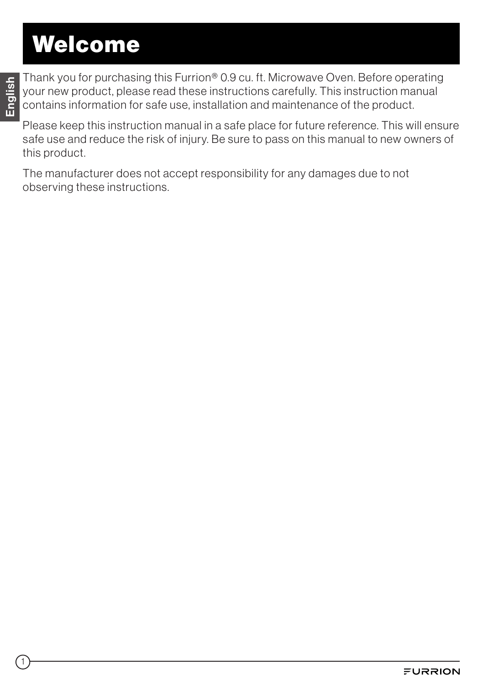# Welcome

1

Thank you for purchasing this Furrion® 0.9 cu. ft. Microwave Oven. Before operating your new product, please read these instructions carefully. This instruction manual contains information for safe use, installation and maintenance of the product.

Please keep this instruction manual in a safe place for future reference. This will ensure safe use and reduce the risk of injury. Be sure to pass on this manual to new owners of this product.

The manufacturer does not accept responsibility for any damages due to not observing these instructions.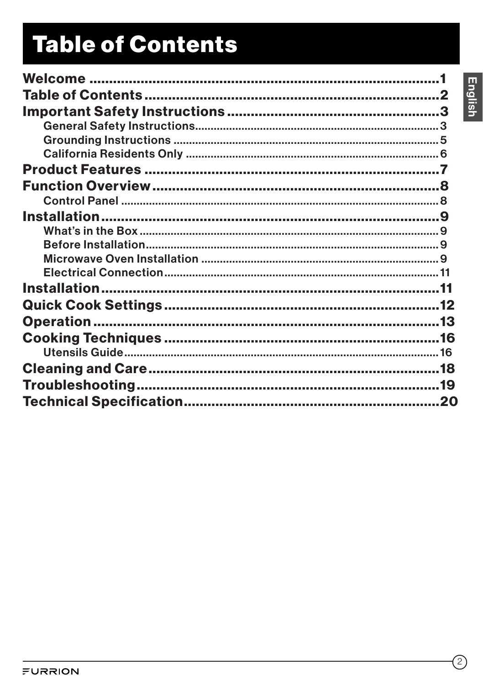# **Table of Contents**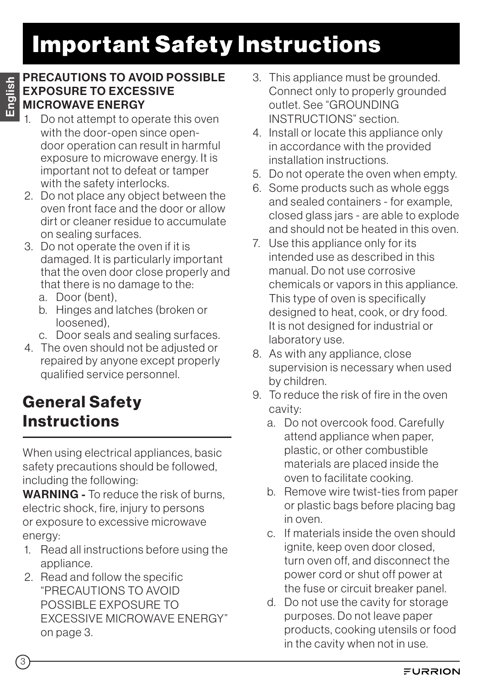# Important Safety Instructions

#### PRECAUTIONS TO AVOID POSSIBLE EXPOSURE TO EXCESSIVE MICROWAVE ENERGY

- Do not attempt to operate this oven with the door-open since opendoor operation can result in harmful exposure to microwave energy. It is important not to defeat or tamper with the safety interlocks.
- 2. Do not place any object between the oven front face and the door or allow dirt or cleaner residue to accumulate on sealing surfaces.
- 3. Do not operate the oven if it is damaged. It is particularly important that the oven door close properly and that there is no damage to the:
	- a. Door (bent),
	- b. Hinges and latches (broken or loosened),
	- c. Door seals and sealing surfaces.
- 4. The oven should not be adjusted or repaired by anyone except properly qualified service personnel.

## General Safety **Instructions**

When using electrical appliances, basic safety precautions should be followed, including the following:

WARNING - To reduce the risk of burns. electric shock, fire, injury to persons or exposure to excessive microwave energy:

- 1. Read all instructions before using the appliance.
- 2. Read and follow the specific "PRECAUTIONS TO AVOID POSSIBLE EXPOSURE TO EXCESSIVE MICROWAVE ENERGY" on page 3.
- 3. This appliance must be grounded. Connect only to properly grounded outlet. See "GROUNDING INSTRUCTIONS" section.
- 4. Install or locate this appliance only in accordance with the provided installation instructions.
- 5. Do not operate the oven when empty.
- 6. Some products such as whole eggs and sealed containers - for example, closed glass jars - are able to explode and should not be heated in this oven.
- 7. Use this appliance only for its intended use as described in this manual. Do not use corrosive chemicals or vapors in this appliance. This type of oven is specifically designed to heat, cook, or dry food. It is not designed for industrial or laboratory use.
- 8. As with any appliance, close supervision is necessary when used by children.
- 9. To reduce the risk of fire in the oven cavity:
	- a. Do not overcook food. Carefully attend appliance when paper, plastic, or other combustible materials are placed inside the oven to facilitate cooking.
	- b. Remove wire twist-ties from paper or plastic bags before placing bag in oven.
	- c. If materials inside the oven should ignite, keep oven door closed, turn oven off, and disconnect the power cord or shut off power at the fuse or circuit breaker panel.
	- d. Do not use the cavity for storage purposes. Do not leave paper products, cooking utensils or food in the cavity when not in use.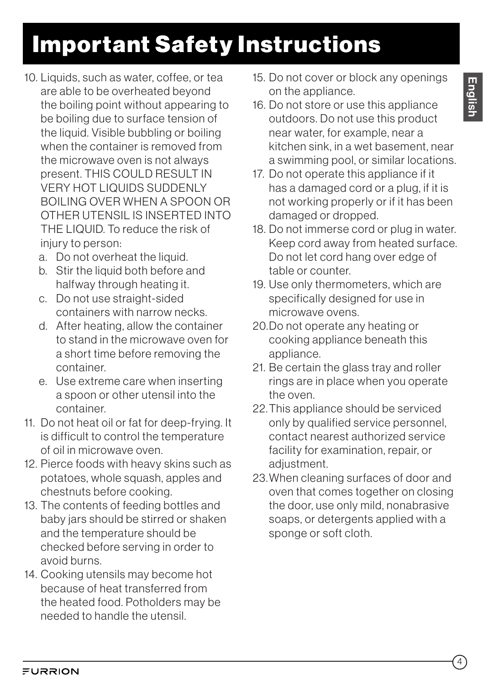- 13. The contents of feeding bottles and baby jars should be stirred or shaken and the temperature should be checked before serving in order to avoid burns.
- 14. Cooking utensils may become hot because of heat transferred from the heated food. Potholders may be needed to handle the utensil.
- Important Safety Instructions
- 10. Liquids, such as water, coffee, or tea are able to be overheated beyond the boiling point without appearing to be boiling due to surface tension of the liquid. Visible bubbling or boiling when the container is removed from the microwave oven is not always present. THIS COULD RESULT IN VERY HOT LIQUIDS SUDDENLY BOILING OVER WHEN A SPOON OR OTHER UTENSIL IS INSERTED INTO THE LIQUID. To reduce the risk of injury to person:
	- a. Do not overheat the liquid.
	- b. Stir the liquid both before and halfway through heating it.
	- c. Do not use straight-sided containers with narrow necks.
	- d. After heating, allow the container to stand in the microwave oven for a short time before removing the container.
	- e. Use extreme care when inserting a spoon or other utensil into the container.
- 11. Do not heat oil or fat for deep-frying. It is difficult to control the temperature of oil in microwave oven.
- 12. Pierce foods with heavy skins such as potatoes, whole squash, apples and chestnuts before cooking.
- 15. Do not cover or block any openings on the appliance.
- 16. Do not store or use this appliance outdoors. Do not use this product near water, for example, near a kitchen sink, in a wet basement, near a swimming pool, or similar locations.
- 17. Do not operate this appliance if it has a damaged cord or a plug, if it is not working properly or if it has been damaged or dropped.
- 18. Do not immerse cord or plug in water. Keep cord away from heated surface. Do not let cord hang over edge of table or counter.
- 19. Use only thermometers, which are specifically designed for use in microwave ovens.
- 20.Do not operate any heating or cooking appliance beneath this appliance.
- 21. Be certain the glass tray and roller rings are in place when you operate the oven.
- 22.This appliance should be serviced only by qualified service personnel, contact nearest authorized service facility for examination, repair, or adiustment.
- 23.When cleaning surfaces of door and oven that comes together on closing the door, use only mild, nonabrasive soaps, or detergents applied with a sponge or soft cloth.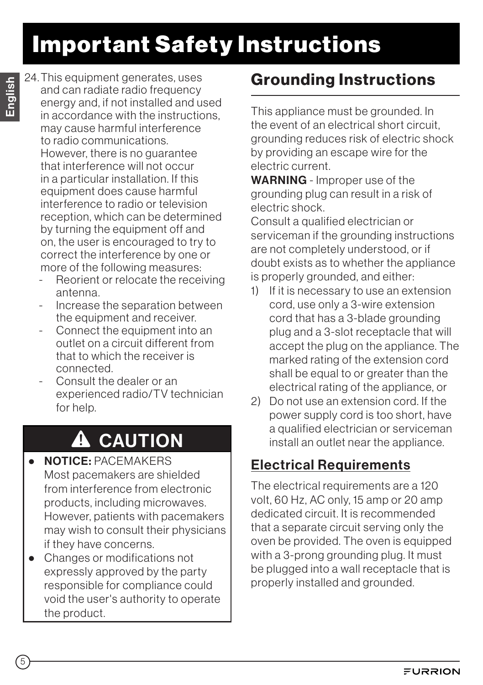# Important Safety Instructions

24.This equipment generates, uses and can radiate radio frequency energy and, if not installed and used in accordance with the instructions, may cause harmful interference to radio communications. However, there is no guarantee that interference will not occur in a particular installation. If this equipment does cause harmful interference to radio or television reception, which can be determined by turning the equipment off and on, the user is encouraged to try to correct the interference by one or more of the following measures:

- Reorient or relocate the receiving antenna.
- Increase the separation between the equipment and receiver.
- Connect the equipment into an outlet on a circuit different from that to which the receiver is connected.
- Consult the dealer or an experienced radio/TV technician for help.

## **A** CAUTION

- NOTICE: PACEMAKERS Most pacemakers are shielded from interference from electronic products, including microwaves. However, patients with pacemakers may wish to consult their physicians if they have concerns.
- Changes or modifications not expressly approved by the party responsible for compliance could void the user's authority to operate the product.

## Grounding Instructions

This appliance must be grounded. In the event of an electrical short circuit, grounding reduces risk of electric shock by providing an escape wire for the electric current.

WARNING - Improper use of the grounding plug can result in a risk of electric shock.

Consult a qualified electrician or serviceman if the grounding instructions are not completely understood, or if doubt exists as to whether the appliance is properly grounded, and either:

- 1) If it is necessary to use an extension cord, use only a 3-wire extension cord that has a 3-blade grounding plug and a 3-slot receptacle that will accept the plug on the appliance. The marked rating of the extension cord shall be equal to or greater than the electrical rating of the appliance, or
- 2) Do not use an extension cord. If the power supply cord is too short, have a qualified electrician or serviceman install an outlet near the appliance.

## Electrical Requirements

The electrical requirements are a 120 volt, 60 Hz, AC only, 15 amp or 20 amp dedicated circuit. It is recommended that a separate circuit serving only the oven be provided. The oven is equipped with a 3-prong grounding plug. It must be plugged into a wall receptacle that is properly installed and grounded.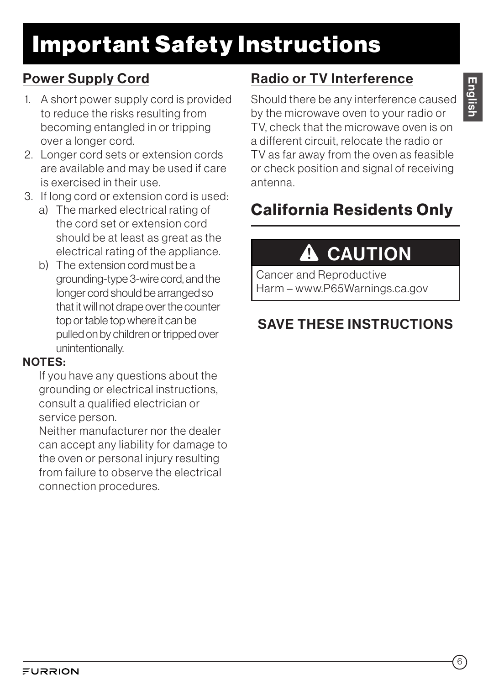# Important Safety Instructions

### Power Supply Cord

- 1. A short power supply cord is provided to reduce the risks resulting from becoming entangled in or tripping over a longer cord.
- 2. Longer cord sets or extension cords are available and may be used if care is exercised in their use.
- 3. If long cord or extension cord is used:
	- a) The marked electrical rating of the cord set or extension cord should be at least as great as the electrical rating of the appliance.
	- b) The extension cord must be a grounding-type 3-wire cord, and the longer cord should be arranged so that it will not drape over the counter top or table top where it can be pulled on by children or tripped over unintentionally.

### NOTES:

If you have any questions about the grounding or electrical instructions, consult a qualified electrician or service person.

Neither manufacturer nor the dealer can accept any liability for damage to the oven or personal injury resulting from failure to observe the electrical connection procedures.

## Radio or TV Interference

English

Should there be any interference caused by the microwave oven to your radio or TV, check that the microwave oven is on a different circuit, relocate the radio or TV as far away from the oven as feasible or check position and signal of receiving antenna.

## California Residents Only

# **A** CAUTION

Cancer and Reproductive Harm – www.P65Warnings.ca.gov

## SAVE THESE INSTRUCTIONS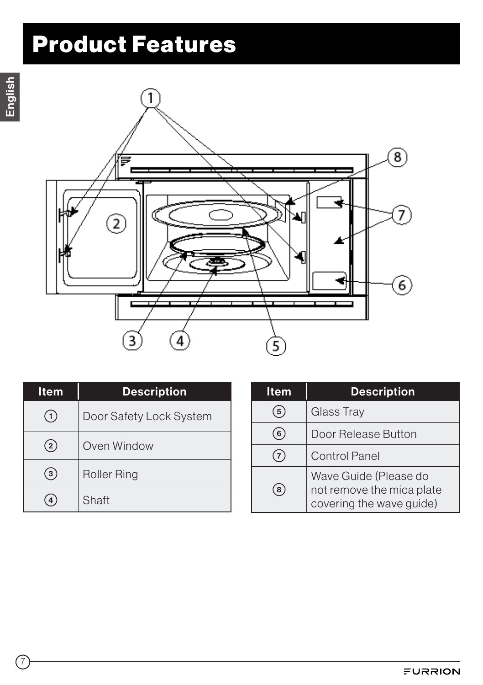# Product Features



| <b>Item</b>     | <b>Description</b>      |
|-----------------|-------------------------|
|                 | Door Safety Lock System |
| (2)             | Oven Window             |
| .3 <sub>2</sub> | <b>Roller Ring</b>      |
|                 | Shaft                   |

| ltem           | <b>Description</b>                                                             |
|----------------|--------------------------------------------------------------------------------|
| 5              | Glass Tray                                                                     |
| 6              | Door Release Button                                                            |
| $\overline{7}$ | <b>Control Panel</b>                                                           |
| 8              | Wave Guide (Please do<br>not remove the mica plate<br>covering the wave guide) |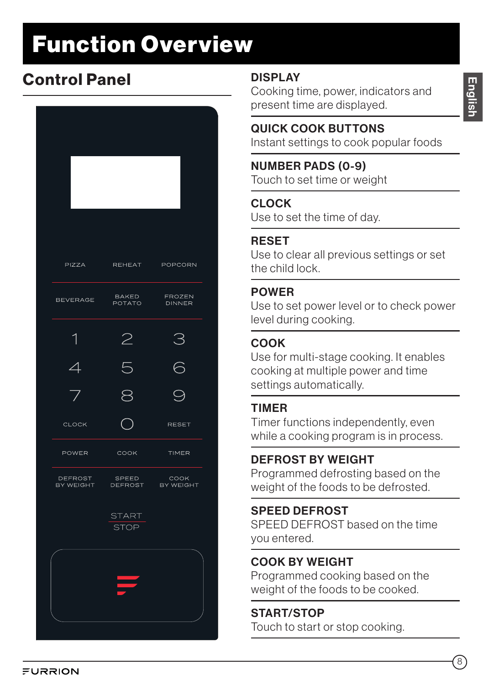# Function Overview

## Control Panel DISPLAY

| PIZZA                    | REHEAT POPCORN                                           |                         |
|--------------------------|----------------------------------------------------------|-------------------------|
|                          |                                                          |                         |
| <b>BEVERAGE</b>          | <b>BAKED</b><br>POTATO                                   | FROZEN<br><b>DINNER</b> |
| 1                        | 2                                                        | З                       |
| $\overline{\mathcal{A}}$ | 5                                                        | $\overline{\bigcirc}$   |
| 7                        |                                                          |                         |
| <b>CLOCK</b>             |                                                          | <b>RESET</b>            |
| POWER                    | COOK                                                     | TIMER                   |
|                          | DEFROST SPEED COOK<br>BYWEIGHT DEFROST BYWEIGHT<br>SPEED |                         |
|                          | <b>START</b><br>STOP                                     |                         |
|                          |                                                          |                         |
|                          | <b>STAR</b>                                              |                         |
|                          |                                                          |                         |

Cooking time, power, indicators and present time are displayed.

### QUICK COOK BUTTONS

Instant settings to cook popular foods

### NUMBER PADS (0-9)

Touch to set time or weight

#### CLOCK

Use to set the time of day.

#### RESET

Use to clear all previous settings or set the child lock.

#### POWER

Use to set power level or to check power level during cooking.

### COOK

Use for multi-stage cooking. It enables cooking at multiple power and time settings automatically.

### TIMER

Timer functions independently, even while a cooking program is in process.

### DEFROST BY WEIGHT

Programmed defrosting based on the weight of the foods to be defrosted.

### SPEED DEFROST

SPEED DEFROST based on the time you entered.

### COOK BY WEIGHT

Programmed cooking based on the weight of the foods to be cooked.

#### START/STOP

Touch to start or stop cooking.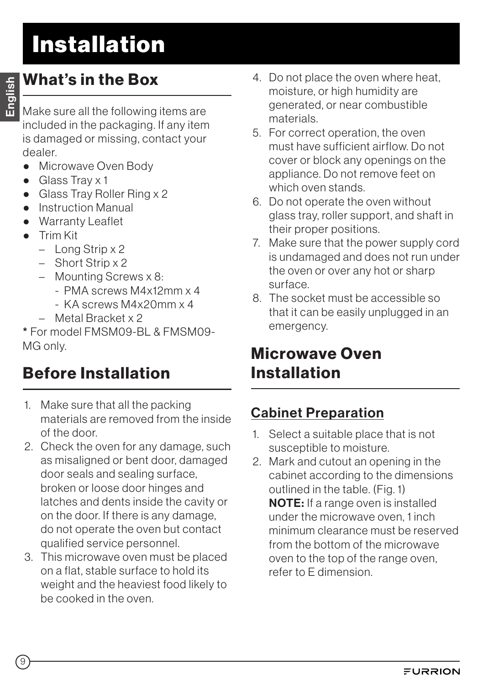## What's in the Box

Make sure all the following items are included in the packaging. If any item is damaged or missing, contact your

- dealer. ● Microwave Oven Body
- Glass Tray x 1
- Glass Tray Roller Ring x 2
- Instruction Manual
- Warranty Leaflet
- Trim Kit
	- Long Strip x 2
	- Short Strip x 2
	- Mounting Screws x 8:
		- PMA screws M4x12mm x 4
		- KA screws M4x20mm x 4
	- Metal Bracket x 2

\* For model FMSM09-BL & FMSM09- MG only.

## Before Installation

- 1. Make sure that all the packing materials are removed from the inside of the door.
- 2. Check the oven for any damage, such as misaligned or bent door, damaged door seals and sealing surface, broken or loose door hinges and latches and dents inside the cavity or on the door. If there is any damage, do not operate the oven but contact qualified service personnel.
- 3. This microwave oven must be placed on a flat, stable surface to hold its weight and the heaviest food likely to be cooked in the oven.
- 4. Do not place the oven where heat, moisture, or high humidity are generated, or near combustible materials.
- 5. For correct operation, the oven must have sufficient airflow. Do not cover or block any openings on the appliance. Do not remove feet on which oven stands.
- 6. Do not operate the oven without glass tray, roller support, and shaft in their proper positions.
- 7. Make sure that the power supply cord is undamaged and does not run under the oven or over any hot or sharp surface.
- 8. The socket must be accessible so that it can be easily unplugged in an emergency.

## Microwave Oven Installation

## Cabinet Preparation

- 1. Select a suitable place that is not susceptible to moisture.
- 2. Mark and cutout an opening in the cabinet according to the dimensions outlined in the table. (Fig. 1) NOTE: If a range oven is installed under the microwave oven, 1 inch minimum clearance must be reserved from the bottom of the microwave oven to the top of the range oven, refer to E dimension.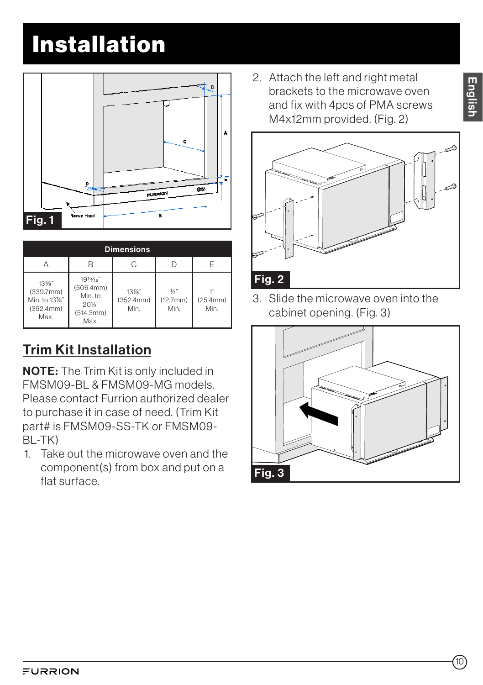

| <b>Dimensions</b>                                      |                                                                 |                               |                                   |                  |
|--------------------------------------------------------|-----------------------------------------------------------------|-------------------------------|-----------------------------------|------------------|
|                                                        |                                                                 | C                             |                                   | F                |
| 13%"<br>(339.7mm)<br>Min. to 13%"<br>(352.4mm)<br>Max. | 1915/16"<br>(506.4mm)<br>Min. to<br>201/4"<br>(514.3mm)<br>Max. | $13\%$ "<br>(352.4mm)<br>Min. | $\frac{1}{2}$<br>(12.7mm)<br>Min. | (25.4mm)<br>Min. |

## Trim Kit Installation

NOTE: The Trim Kit is only included in FMSM09-BL & FMSM09-MG models. Please contact Furrion authorized dealer to purchase it in case of need. (Trim Kit part# is FMSM09-SS-TK or FMSM09- BL-TK)

1. Take out the microwave oven and the component(s) from box and put on a flat surface.

2. Attach the left and right metal brackets to the microwave oven and fix with 4pcs of PMA screws M4x12mm provided. (Fig. 2)



3. Slide the microwave oven into the cabinet opening. (Fig. 3)

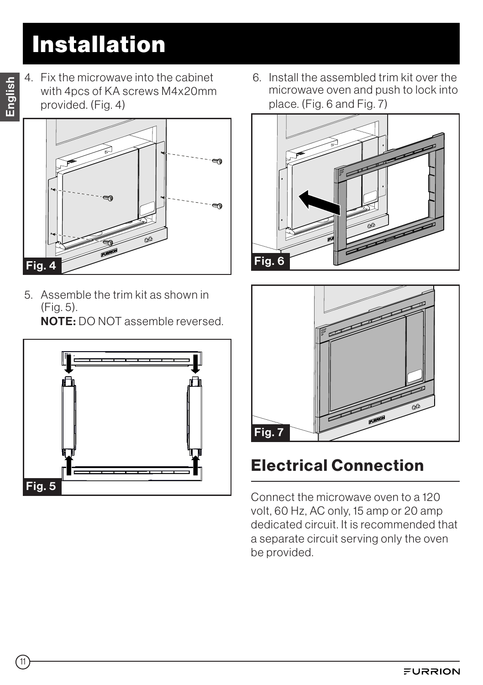- English
- 4. Fix the microwave into the cabinet with 4pcs of KA screws M4x20mm provided. (Fig. 4)



5. Assemble the trim kit as shown in (Fig. 5). NOTE: DO NOT assemble reversed.

Fig. 5

6. Install the assembled trim kit over the microwave oven and push to lock into place. (Fig. 6 and Fig. 7)





## Electrical Connection

Connect the microwave oven to a 120 volt, 60 Hz, AC only, 15 amp or 20 amp dedicated circuit. It is recommended that a separate circuit serving only the oven be provided.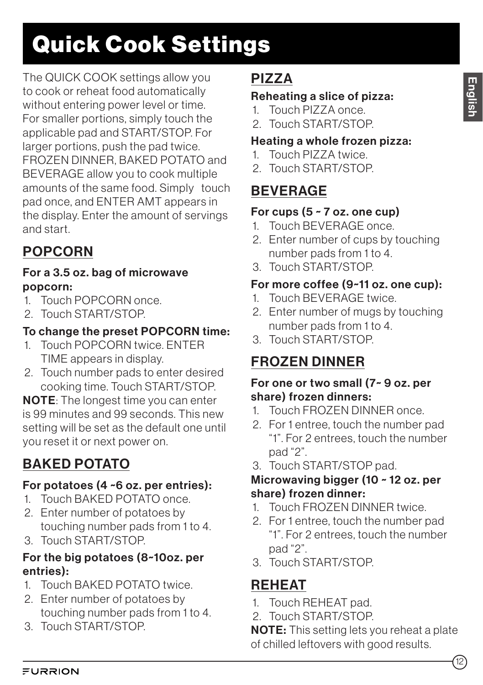# Quick Cook Settings

The QUICK COOK settings allow you to cook or reheat food automatically without entering power level or time. For smaller portions, simply touch the applicable pad and START/STOP. For larger portions, push the pad twice. FROZEN DINNER, BAKED POTATO and BEVERAGE allow you to cook multiple amounts of the same food. Simply touch pad once, and ENTER AMT appears in the display. Enter the amount of servings and start.

## POPCORN

#### For a 3.5 oz. bag of microwave popcorn:

- 1. Touch POPCORN once.
- 2. Touch START/STOP.

### To change the preset POPCORN time:

- 1. Touch POPCORN twice. ENTER TIME appears in display.
- 2. Touch number pads to enter desired cooking time. Touch START/STOP.

NOTE: The longest time you can enter is 99 minutes and 99 seconds. This new setting will be set as the default one until you reset it or next power on.

## BAKED POTATO

### For potatoes (4 ~6 oz. per entries):

- 1. Touch BAKED POTATO once.
- 2. Enter number of potatoes by touching number pads from 1 to 4.
- 3. Touch START/STOP.

### For the big potatoes (8~10oz. per entries):

- 1. Touch BAKED POTATO twice.
- 2. Enter number of potatoes by touching number pads from 1 to 4.
- 3. Touch START/STOP.

## PIZZA

### Reheating a slice of pizza:

- 1. Touch PIZZA once.
- 2. Touch START/STOP.

### Heating a whole frozen pizza:

- 1. Touch PIZZA twice.
- 2. Touch START/STOP.

## BEVERAGE

### For cups  $(5 - 7)$  oz. one cup)

- 1. Touch BEVERAGE once.
- 2. Enter number of cups by touching number pads from 1 to 4.
- 3. Touch START/STOP.

### For more coffee (9~11 oz. one cup):

- 1. Touch BEVERAGE twice.
- 2. Enter number of mugs by touching number pads from 1 to 4.
- 3. Touch START/STOP.

## FROZEN DINNER

#### For one or two small (7~ 9 oz. per share) frozen dinners:

- 1. Touch FROZEN DINNER once.
- 2. For 1 entree, touch the number pad "1". For 2 entrees, touch the number pad "2".
- 3. Touch START/STOP pad.

#### Microwaving bigger (10 ~ 12 oz. per share) frozen dinner:

- 1. Touch FROZEN DINNER twice.
- 2. For 1 entree, touch the number pad "1". For 2 entrees, touch the number pad "2".
- 3. Touch START/STOP.

## REHEAT

- 1. Touch REHEAT pad.
- 2. Touch START/STOP.

NOTE: This setting lets you reheat a plate of chilled leftovers with good results.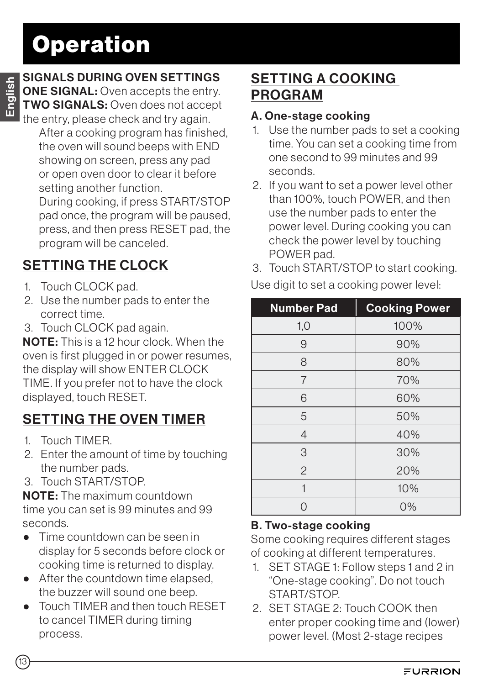# **Operation**

### SIGNALS DURING OVEN SETTINGS

**ONE SIGNAL:** Oven accepts the entry. **TWO SIGNALS: Oven does not accept** the entry, please check and try again.

After a cooking program has finished. the oven will sound beeps with END showing on screen, press any pad or open oven door to clear it before setting another function.

During cooking, if press START/STOP pad once, the program will be paused, press, and then press RESET pad, the program will be canceled.

## SETTING THE CLOCK

- 1. Touch CLOCK pad.
- 2. Use the number pads to enter the correct time.
- 3. Touch CLOCK pad again.

NOTE: This is a 12 hour clock. When the oven is first plugged in or power resumes, the display will show ENTER CLOCK TIME. If you prefer not to have the clock displayed, touch RESET.

## SETTING THE OVEN TIMER

- 1. Touch TIMER.
- 2. Enter the amount of time by touching the number pads.
- 3. Touch START/STOP.

NOTE: The maximum countdown time you can set is 99 minutes and 99 seconds.

- Time countdown can be seen in display for 5 seconds before clock or cooking time is returned to display.
- After the countdown time elapsed, the buzzer will sound one beep.
- Touch TIMER and then touch RESET to cancel TIMER during timing process.

## SETTING A COOKING PROGRAM

#### A. One-stage cooking

- 1. Use the number pads to set a cooking time. You can set a cooking time from one second to 99 minutes and 99 seconds.
- 2. If you want to set a power level other than 100%, touch POWER, and then use the number pads to enter the power level. During cooking you can check the power level by touching POWER pad.
- 3. Touch START/STOP to start cooking.

| <b>Number Pad</b> | <b>Cooking Power</b> |
|-------------------|----------------------|
| 1,0               | 100%                 |
| 9                 | 90%                  |
| 8                 | 80%                  |
| $\overline{7}$    | 70%                  |
| 6                 | 60%                  |
| 5                 | 50%                  |
| $\overline{4}$    | 40%                  |
| 3                 | 30%                  |
| $\overline{2}$    | 20%                  |
|                   | 10%                  |
|                   | $0\%$                |

Use digit to set a cooking power level:

### B. Two-stage cooking

Some cooking requires different stages of cooking at different temperatures.

- 1. SET STAGE 1: Follow steps 1 and 2 in "One-stage cooking". Do not touch START/STOP.
- 2. SET STAGE 2: Touch COOK then enter proper cooking time and (lower) power level. (Most 2-stage recipes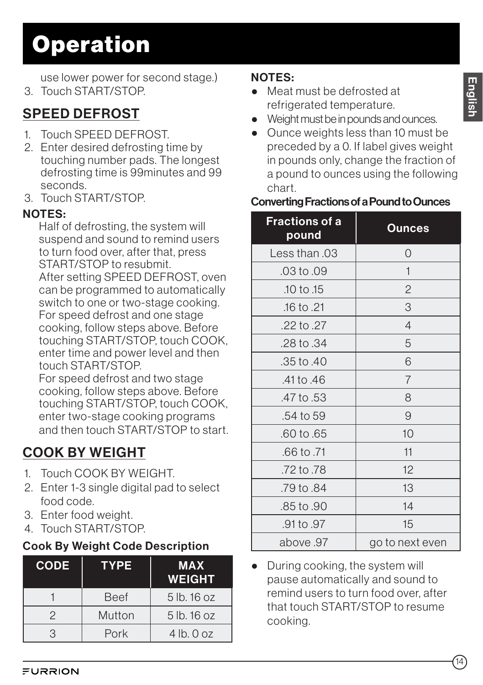# **Operation**

use lower power for second stage.)

3. Touch START/STOP.

## SPEED DEFROST

- 1. Touch SPEED DEFROST.
- 2. Enter desired defrosting time by touching number pads. The longest defrosting time is 99minutes and 99 seconds.
- 3. Touch START/STOP.

#### NOTES:

Half of defrosting, the system will suspend and sound to remind users to turn food over, after that, press START/STOP to resubmit. After setting SPEED DEFROST, oven can be programmed to automatically switch to one or two-stage cooking. For speed defrost and one stage cooking, follow steps above. Before touching START/STOP, touch COOK, enter time and power level and then touch START/STOP.

For speed defrost and two stage cooking, follow steps above. Before touching START/STOP, touch COOK, enter two-stage cooking programs and then touch START/STOP to start.

## COOK BY WEIGHT

- 1. Touch COOK BY WEIGHT.
- 2. Enter 1-3 single digital pad to select food code.
- 3. Enter food weight.
- 4. Touch START/STOP.

#### Cook By Weight Code Description

| <b>CODE</b> | <b>TYPE</b> | <b>MAX</b><br><b>WEIGHT</b> |
|-------------|-------------|-----------------------------|
|             | <b>Beef</b> | 5 lb. 16 oz                 |
| 2           | Mutton      | 5 lb. 16 oz                 |
| २           | Pork        | $4$ lb. $0$ oz              |

### NOTES:

- Meat must be defrosted at refrigerated temperature.
- Weight must be in pounds and ounces.
- Ounce weights less than 10 must be preceded by a 0. If label gives weight in pounds only, change the fraction of a pound to ounces using the following chart.

#### Converting Fractions of a Pound to Ounces

| <b>Fractions of a</b><br>pound | Ounces          |
|--------------------------------|-----------------|
| Less than .03                  | 0               |
| .03 to .09                     | 1               |
| 10 to 15                       | $\overline{c}$  |
| .16 to .21                     | 3               |
| .22 to .27                     | 4               |
| .28 to .34                     | 5               |
| .35 to .40                     | 6               |
| .41 to .46                     | 7               |
| .47 to .53                     | 8               |
| .54 to 59                      | 9               |
| .60 to .65                     | 10              |
| .66 to .71                     | 11              |
| .72 to .78                     | 12              |
| .79 to .84                     | 13              |
| .85 to .90                     | 14              |
| .91 to .97                     | 15              |
| above 97                       | go to next even |

• During cooking, the system will pause automatically and sound to remind users to turn food over, after that touch START/STOP to resume cooking.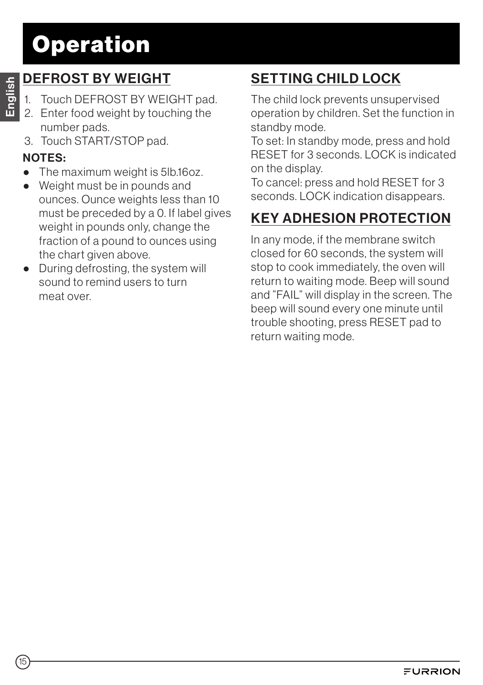# **Operation**

## DEFROST BY WEIGHT

- 1. Touch DEFROST BY WEIGHT pad.
- 2. Enter food weight by touching the number pads.
- 3. Touch START/STOP pad.

### NOTES:

- The maximum weight is 5lb.16oz.
- Weight must be in pounds and ounces. Ounce weights less than 10 must be preceded by a 0. If label gives weight in pounds only, change the fraction of a pound to ounces using the chart given above.
- During defrosting, the system will sound to remind users to turn meat over.

## SETTING CHILD LOCK

The child lock prevents unsupervised operation by children. Set the function in standby mode.

To set: In standby mode, press and hold RESET for 3 seconds. LOCK is indicated on the display.

To cancel: press and hold RESET for 3 seconds. LOCK indication disappears.

## KEY ADHESION PROTECTION

In any mode, if the membrane switch closed for 60 seconds, the system will stop to cook immediately, the oven will return to waiting mode. Beep will sound and "FAIL" will display in the screen. The beep will sound every one minute until trouble shooting, press RESET pad to return waiting mode.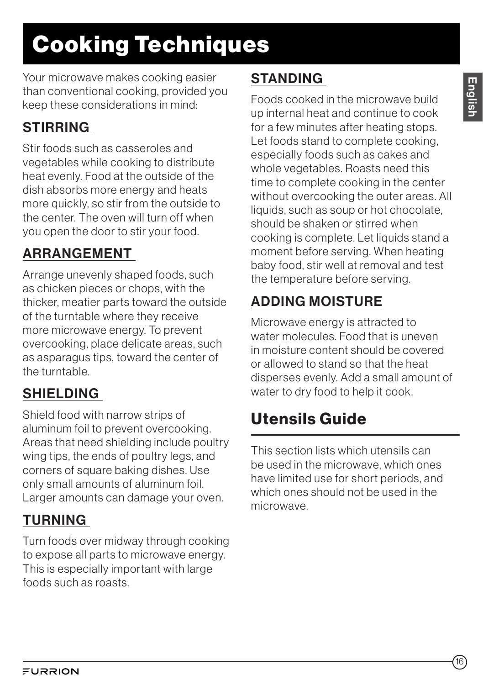# Cooking Techniques

Your microwave makes cooking easier than conventional cooking, provided you keep these considerations in mind:

## **STIRRING**

Stir foods such as casseroles and vegetables while cooking to distribute heat evenly. Food at the outside of the dish absorbs more energy and heats more quickly, so stir from the outside to the center. The oven will turn off when you open the door to stir your food.

## ARRANGEMENT

Arrange unevenly shaped foods, such as chicken pieces or chops, with the thicker, meatier parts toward the outside of the turntable where they receive more microwave energy. To prevent overcooking, place delicate areas, such as asparagus tips, toward the center of the turntable.

## SHIELDING

Shield food with narrow strips of aluminum foil to prevent overcooking. Areas that need shielding include poultry wing tips, the ends of poultry legs, and corners of square baking dishes. Use only small amounts of aluminum foil. Larger amounts can damage your oven.

## TURNING

Turn foods over midway through cooking to expose all parts to microwave energy. This is especially important with large foods such as roasts.

## **STANDING**

Foods cooked in the microwave build up internal heat and continue to cook for a few minutes after heating stops. Let foods stand to complete cooking, especially foods such as cakes and whole vegetables. Roasts need this time to complete cooking in the center without overcooking the outer areas. All liquids, such as soup or hot chocolate, should be shaken or stirred when cooking is complete. Let liquids stand a moment before serving. When heating baby food, stir well at removal and test the temperature before serving.

## ADDING MOISTURE

Microwave energy is attracted to water molecules. Food that is uneven in moisture content should be covered or allowed to stand so that the heat disperses evenly. Add a small amount of water to dry food to help it cook.

## Utensils Guide

This section lists which utensils can be used in the microwave, which ones have limited use for short periods, and which ones should not be used in the microwave.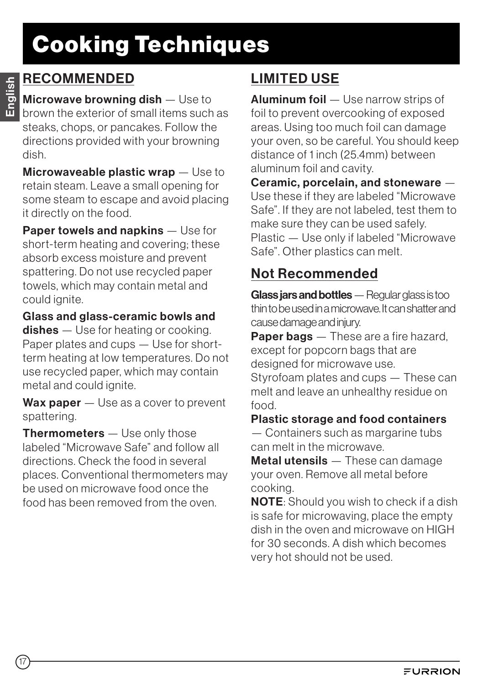# Cooking Techniques

### RECOMMENDED

Microwave browning dish — Use to brown the exterior of small items such as steaks, chops, or pancakes. Follow the directions provided with your browning dish.

Microwaveable plastic wrap – Use to retain steam. Leave a small opening for some steam to escape and avoid placing it directly on the food.

Paper towels and napkins — Use for short-term heating and covering; these absorb excess moisture and prevent spattering. Do not use recycled paper towels, which may contain metal and could ignite.

Glass and glass-ceramic bowls and dishes — Use for heating or cooking. Paper plates and cups — Use for shortterm heating at low temperatures. Do not use recycled paper, which may contain metal and could ignite.

Wax paper – Use as a cover to prevent spattering.

Thermometers - Use only those labeled "Microwave Safe" and follow all directions. Check the food in several places. Conventional thermometers may be used on microwave food once the food has been removed from the oven.

## LIMITED USE

Aluminum foil - Use narrow strips of foil to prevent overcooking of exposed areas. Using too much foil can damage your oven, so be careful. You should keep distance of 1 inch (25.4mm) between aluminum foil and cavity.

Ceramic, porcelain, and stoneware — Use these if they are labeled "Microwave Safe". If they are not labeled, test them to make sure they can be used safely. Plastic — Use only if labeled "Microwave Safe". Other plastics can melt.

## Not Recommended

Glass jars and bottles — Regular glass is too thin to be used in a microwave. It can shatter and cause damage and injury.

Paper bags — These are a fire hazard. except for popcorn bags that are designed for microwave use. Styrofoam plates and cups — These can melt and leave an unhealthy residue on food.

#### Plastic storage and food containers

— Containers such as margarine tubs can melt in the microwave.

Metal utensils — These can damage your oven. Remove all metal before cooking.

NOTE: Should you wish to check if a dish is safe for microwaving, place the empty dish in the oven and microwave on HIGH for 30 seconds. A dish which becomes very hot should not be used.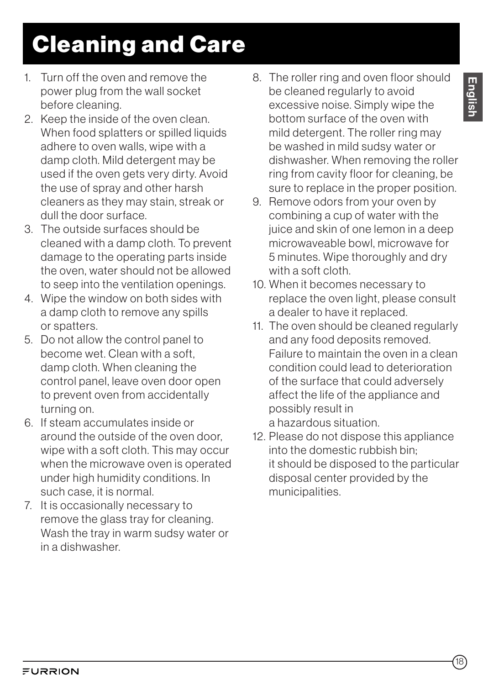# Cleaning and Care

- 1. Turn off the oven and remove the power plug from the wall socket before cleaning.
- 2. Keep the inside of the oven clean. When food splatters or spilled liquids adhere to oven walls, wipe with a damp cloth. Mild detergent may be used if the oven gets very dirty. Avoid the use of spray and other harsh cleaners as they may stain, streak or dull the door surface.
- 3. The outside surfaces should be cleaned with a damp cloth. To prevent damage to the operating parts inside the oven, water should not be allowed to seep into the ventilation openings.
- 4. Wipe the window on both sides with a damp cloth to remove any spills or spatters.
- 5. Do not allow the control panel to become wet. Clean with a soft, damp cloth. When cleaning the control panel, leave oven door open to prevent oven from accidentally turning on.
- 6. If steam accumulates inside or around the outside of the oven door, wipe with a soft cloth. This may occur when the microwave oven is operated under high humidity conditions. In such case, it is normal.
- 7. It is occasionally necessary to remove the glass tray for cleaning. Wash the tray in warm sudsy water or in a dishwasher.
- 8. The roller ring and oven floor should be cleaned regularly to avoid excessive noise. Simply wipe the bottom surface of the oven with mild detergent. The roller ring may be washed in mild sudsy water or dishwasher. When removing the roller ring from cavity floor for cleaning, be sure to replace in the proper position.
- 9. Remove odors from your oven by combining a cup of water with the juice and skin of one lemon in a deep microwaveable bowl, microwave for 5 minutes. Wipe thoroughly and dry with a soft cloth.
- 10. When it becomes necessary to replace the oven light, please consult a dealer to have it replaced.
- 11. The oven should be cleaned regularly and any food deposits removed. Failure to maintain the oven in a clean condition could lead to deterioration of the surface that could adversely affect the life of the appliance and possibly result in a hazardous situation.
- 12. Please do not dispose this appliance into the domestic rubbish bin; it should be disposed to the particular disposal center provided by the municipalities.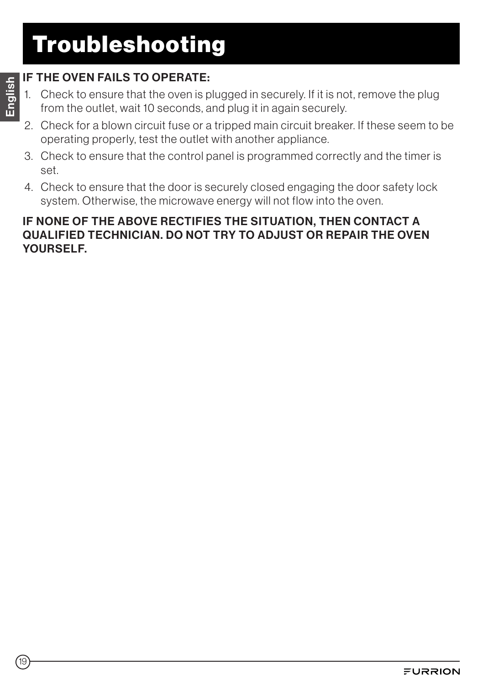# Troubleshooting

### IF THE OVEN FAILS TO OPERATE:

- 1. Check to ensure that the oven is plugged in securely. If it is not, remove the plug from the outlet, wait 10 seconds, and plug it in again securely.
- 2. Check for a blown circuit fuse or a tripped main circuit breaker. If these seem to be operating properly, test the outlet with another appliance.
- 3. Check to ensure that the control panel is programmed correctly and the timer is set.
- 4. Check to ensure that the door is securely closed engaging the door safety lock system. Otherwise, the microwave energy will not flow into the oven.

#### IF NONE OF THE ABOVE RECTIFIES THE SITUATION, THEN CONTACT A QUALIFIED TECHNICIAN. DO NOT TRY TO ADJUST OR REPAIR THE OVEN YOURSELF.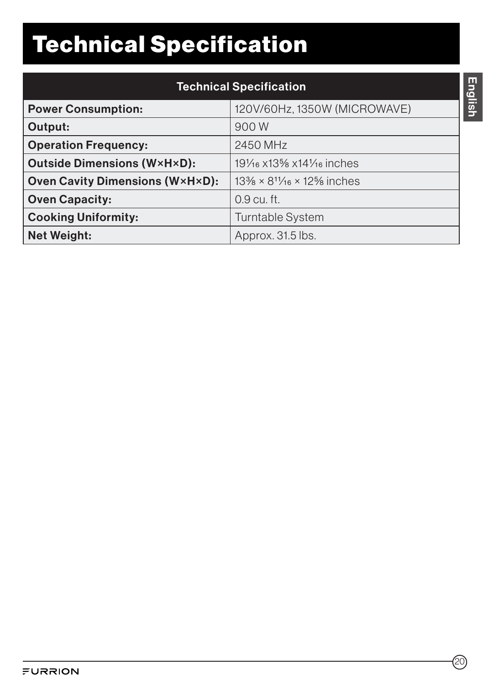# Technical Specification

| <b>Technical Specification</b>                            |                                                                               |  |
|-----------------------------------------------------------|-------------------------------------------------------------------------------|--|
| 120V/60Hz, 1350W (MICROWAVE)<br><b>Power Consumption:</b> |                                                                               |  |
| Output:                                                   | 900 W                                                                         |  |
| <b>Operation Frequency:</b>                               | 2450 MHz                                                                      |  |
| <b>Outside Dimensions (W×H×D):</b>                        | 191/ <sub>16</sub> x13 <sup>5</sup> / <sub>8</sub> x141/ <sub>16</sub> inches |  |
| <b>Oven Cavity Dimensions (W×H×D):</b>                    | $13\% \times 8^{11}/_{16} \times 12\%$ inches                                 |  |
| <b>Oven Capacity:</b>                                     | 0.9 cu. ft.                                                                   |  |
| <b>Cooking Uniformity:</b>                                | <b>Turntable System</b>                                                       |  |
| <b>Net Weight:</b>                                        | Approx. 31.5 lbs.                                                             |  |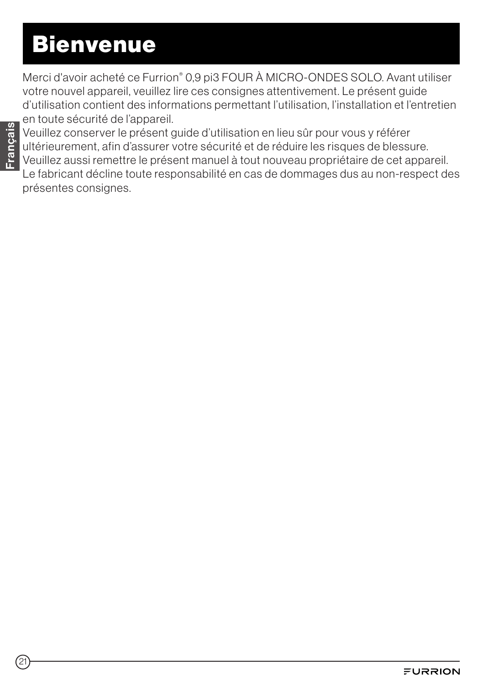# **Bienvenue**

Merci d'avoir acheté ce Furrion® 0,9 pi3 FOUR À MICRO-ONDES SOLO. Avant utiliser votre nouvel appareil, veuillez lire ces consignes attentivement. Le présent guide d'utilisation contient des informations permettant l'utilisation, l'installation et l'entretien en toute sécurité de l'appareil.

Veuillez conserver le présent guide d'utilisation en lieu sûr pour vous y référer ultérieurement, afin d'assurer votre sécurité et de réduire les risques de blessure. Veuillez aussi remettre le présent manuel à tout nouveau propriétaire de cet appareil. Le fabricant décline toute responsabilité en cas de dommages dus au non-respect des présentes consignes.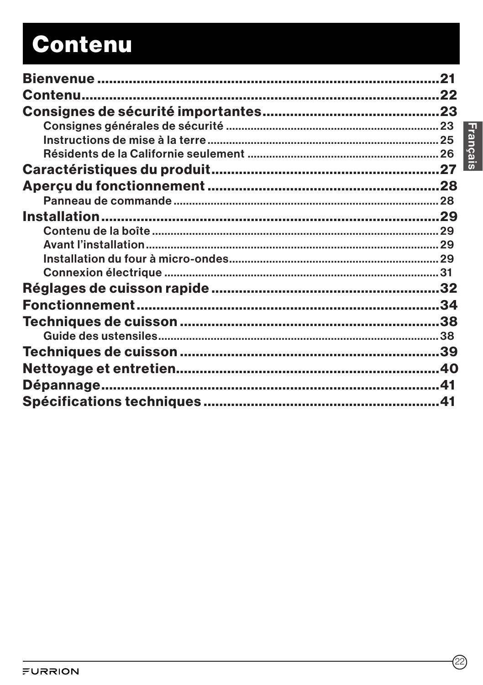# Contenu

| Contenu. | 22 |
|----------|----|
|          |    |
|          |    |
|          |    |
|          |    |
|          |    |
|          |    |
|          |    |
|          |    |
|          |    |
|          |    |
|          |    |
|          |    |
|          |    |
|          | 34 |
|          |    |
|          |    |
|          |    |
|          |    |
|          |    |
|          |    |
|          | 41 |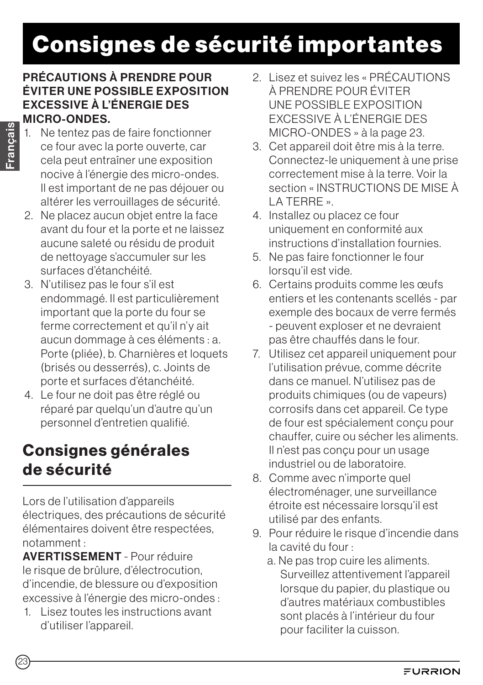# Consignes de sécurité importantes

#### PRÉCAUTIONS À PRENDRE POUR ÉVITER UNE POSSIBLE EXPOSITION EXCESSIVE À L'ÉNERGIE DES MICRO-ONDES.

- 1. Ne tentez pas de faire fonctionner ce four avec la porte ouverte, car cela peut entraîner une exposition nocive à l'énergie des micro-ondes. Il est important de ne pas déjouer ou altérer les verrouillages de sécurité.
- 2. Ne placez aucun objet entre la face avant du four et la porte et ne laissez aucune saleté ou résidu de produit de nettoyage s'accumuler sur les surfaces d'étanchéité.
- 3. N'utilisez pas le four s'il est endommagé. Il est particulièrement important que la porte du four se ferme correctement et qu'il n'y ait aucun dommage à ces éléments : a. Porte (pliée), b. Charnières et loquets (brisés ou desserrés), c. Joints de porte et surfaces d'étanchéité.
- 4. Le four ne doit pas être réglé ou réparé par quelqu'un d'autre qu'un personnel d'entretien qualifié.

## Consignes générales de sécurité

Lors de l'utilisation d'appareils électriques, des précautions de sécurité élémentaires doivent être respectées, notamment :

AVERTISSEMENT - Pour réduire le risque de brûlure, d'électrocution, d'incendie, de blessure ou d'exposition excessive à l'énergie des micro-ondes :

1. Lisez toutes les instructions avant d'utiliser l'appareil.

- 2. Lisez et suivez les « PRÉCAUTIONS À PRENDRE POUR ÉVITER UNE POSSIBLE EXPOSITION EXCESSIVE À L'ÉNERGIE DES MICRO-ONDES » à la page 23.
- 3. Cet appareil doit être mis à la terre. Connectez-le uniquement à une prise correctement mise à la terre. Voir la section « INSTRUCTIONS DE MISE À LA TERRE ».
- 4. Installez ou placez ce four uniquement en conformité aux instructions d'installation fournies.
- 5. Ne pas faire fonctionner le four lorsqu'il est vide.
- 6. Certains produits comme les œufs entiers et les contenants scellés - par exemple des bocaux de verre fermés - peuvent exploser et ne devraient pas être chauffés dans le four.
- 7. Utilisez cet appareil uniquement pour l'utilisation prévue, comme décrite dans ce manuel. N'utilisez pas de produits chimiques (ou de vapeurs) corrosifs dans cet appareil. Ce type de four est spécialement conçu pour chauffer, cuire ou sécher les aliments. Il n'est pas conçu pour un usage industriel ou de laboratoire.
- 8. Comme avec n'importe quel électroménager, une surveillance étroite est nécessaire lorsqu'il est utilisé par des enfants.
- 9. Pour réduire le risque d'incendie dans la cavité du four :
	- a. Ne pas trop cuire les aliments. Surveillez attentivement l'appareil lorsque du papier, du plastique ou d'autres matériaux combustibles sont placés à l'intérieur du four pour faciliter la cuisson.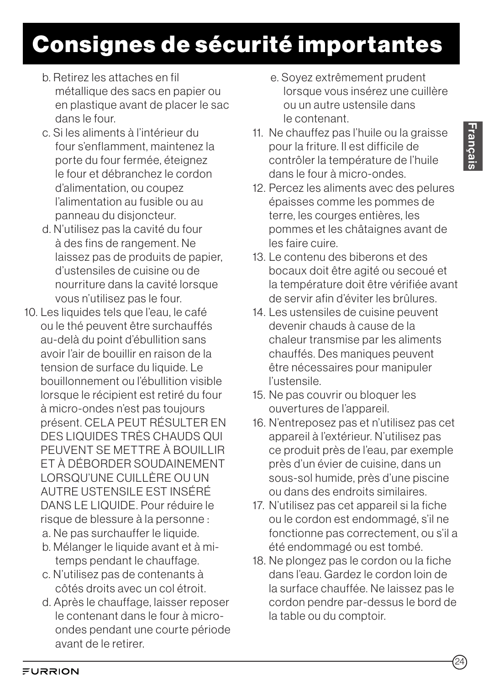- b. Retirez les attaches en fil métallique des sacs en papier ou en plastique avant de placer le sac dans le four.
- c. Si les aliments à l'intérieur du four s'enflamment, maintenez la porte du four fermée, éteignez le four et débranchez le cordon d'alimentation, ou coupez l'alimentation au fusible ou au panneau du disjoncteur.
- d. N'utilisez pas la cavité du four à des fins de rangement. Ne laissez pas de produits de papier, d'ustensiles de cuisine ou de nourriture dans la cavité lorsque vous n'utilisez pas le four.
- 10. Les liquides tels que l'eau, le café ou le thé peuvent être surchauffés au-delà du point d'ébullition sans avoir l'air de bouillir en raison de la tension de surface du liquide. Le bouillonnement ou l'ébullition visible lorsque le récipient est retiré du four à micro-ondes n'est pas toujours présent. CELA PEUT RÉSULTER EN DES LIQUIDES TRÈS CHAUDS QUI PEUVENT SE METTRE À BOUILLIR ET À DÉBORDER SOUDAINEMENT LORSQU'UNE CUILLÈRE OU UN AUTRE USTENSILE EST INSÉRÉ DANS LE LIQUIDE. Pour réduire le risque de blessure à la personne : a. Ne pas surchauffer le liquide.
	- b. Mélanger le liquide avant et à mitemps pendant le chauffage.
	- c. N'utilisez pas de contenants à côtés droits avec un col étroit.
	- d. Après le chauffage, laisser reposer le contenant dans le four à microondes pendant une courte période avant de le retirer.
- e. Soyez extrêmement prudent lorsque vous insérez une cuillère ou un autre ustensile dans le contenant.
- 11. Ne chauffez pas l'huile ou la graisse pour la friture. Il est difficile de contrôler la température de l'huile dans le four à micro-ondes.
- 12. Percez les aliments avec des pelures épaisses comme les pommes de terre, les courges entières, les pommes et les châtaignes avant de les faire cuire.
- 13. Le contenu des biberons et des bocaux doit être agité ou secoué et la température doit être vérifiée avant de servir afin d'éviter les brûlures.
- 14. Les ustensiles de cuisine peuvent devenir chauds à cause de la chaleur transmise par les aliments chauffés. Des maniques peuvent être nécessaires pour manipuler l'ustensile.
- 15. Ne pas couvrir ou bloquer les ouvertures de l'appareil.
- 16. N'entreposez pas et n'utilisez pas cet appareil à l'extérieur. N'utilisez pas ce produit près de l'eau, par exemple près d'un évier de cuisine, dans un sous-sol humide, près d'une piscine ou dans des endroits similaires.
- 17. N'utilisez pas cet appareil si la fiche ou le cordon est endommagé, s'il ne fonctionne pas correctement, ou s'il a été endommagé ou est tombé.
- 18. Ne plongez pas le cordon ou la fiche dans l'eau. Gardez le cordon loin de la surface chauffée. Ne laissez pas le cordon pendre par-dessus le bord de la table ou du comptoir.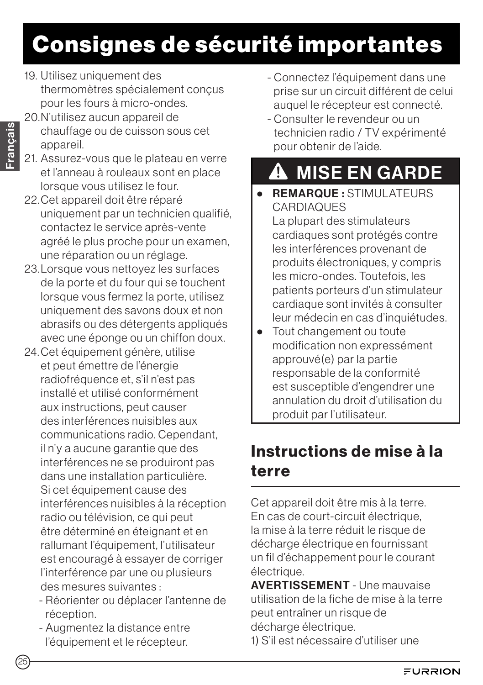# Consignes de sécurité importantes

- 19. Utilisez uniquement des thermomètres spécialement conçus pour les fours à micro-ondes.
- 20.N'utilisez aucun appareil de chauffage ou de cuisson sous cet appareil.
- 21. Assurez-vous que le plateau en verre et l'anneau à rouleaux sont en place lorsque vous utilisez le four.
- 22.Cet appareil doit être réparé uniquement par un technicien qualifié, contactez le service après-vente agréé le plus proche pour un examen, une réparation ou un réglage.
- 23.Lorsque vous nettoyez les surfaces de la porte et du four qui se touchent lorsque vous fermez la porte, utilisez uniquement des savons doux et non abrasifs ou des détergents appliqués avec une éponge ou un chiffon doux.
- 24.Cet équipement génère, utilise et peut émettre de l'énergie radiofréquence et, s'il n'est pas installé et utilisé conformément aux instructions, peut causer des interférences nuisibles aux communications radio. Cependant, il n'y a aucune garantie que des interférences ne se produiront pas dans une installation particulière. Si cet équipement cause des interférences nuisibles à la réception radio ou télévision, ce qui peut être déterminé en éteignant et en rallumant l'équipement, l'utilisateur est encouragé à essayer de corriger l'interférence par une ou plusieurs des mesures suivantes :
	- Réorienter ou déplacer l'antenne de réception.
	- Augmentez la distance entre l'équipement et le récepteur.
- Connectez l'équipement dans une prise sur un circuit différent de celui auquel le récepteur est connecté.
- Consulter le revendeur ou un technicien radio / TV expérimenté pour obtenir de l'aide.

# **A** MISE EN GARDE

- REMARQUE : STIMULATEURS **CARDIAQUES** La plupart des stimulateurs cardiaques sont protégés contre les interférences provenant de produits électroniques, y compris les micro-ondes. Toutefois, les patients porteurs d'un stimulateur cardiaque sont invités à consulter leur médecin en cas d'inquiétudes.
- Tout changement ou toute modification non expressément approuvé(e) par la partie responsable de la conformité est susceptible d'engendrer une annulation du droit d'utilisation du produit par l'utilisateur.

## Instructions de mise à la terre

Cet appareil doit être mis à la terre. En cas de court-circuit électrique, la mise à la terre réduit le risque de décharge électrique en fournissant un fil d'échappement pour le courant électrique.

**AVERTISSEMENT** - Une mauvaise utilisation de la fiche de mise à la terre peut entraîner un risque de décharge électrique.

1) S'il est nécessaire d'utiliser une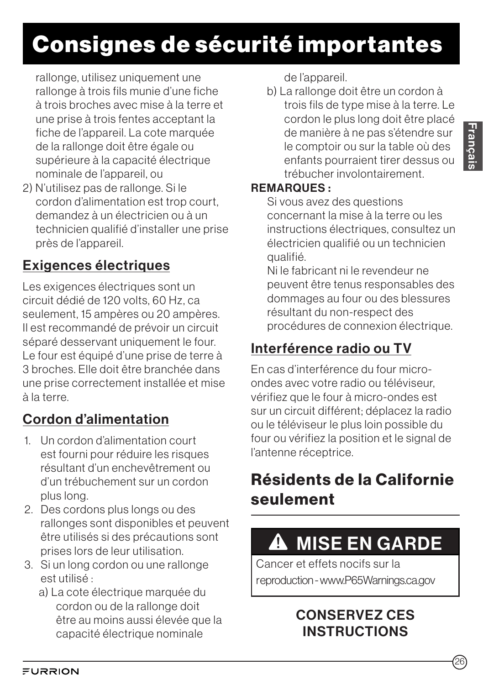# Consignes de sécurité importantes

rallonge, utilisez uniquement une rallonge à trois fils munie d'une fiche à trois broches avec mise à la terre et une prise à trois fentes acceptant la fiche de l'appareil. La cote marquée de la rallonge doit être égale ou supérieure à la capacité électrique nominale de l'appareil, ou

2) N'utilisez pas de rallonge. Si le cordon d'alimentation est trop court, demandez à un électricien ou à un technicien qualifié d'installer une prise près de l'appareil.

## Exigences électriques

Les exigences électriques sont un circuit dédié de 120 volts, 60 Hz, ca seulement, 15 ampères ou 20 ampères. Il est recommandé de prévoir un circuit séparé desservant uniquement le four. Le four est équipé d'une prise de terre à 3 broches. Elle doit être branchée dans une prise correctement installée et mise à la terre.

## Cordon d'alimentation

- 1. Un cordon d'alimentation court est fourni pour réduire les risques résultant d'un enchevêtrement ou d'un trébuchement sur un cordon plus long.
- 2. Des cordons plus longs ou des rallonges sont disponibles et peuvent être utilisés si des précautions sont prises lors de leur utilisation.
- 3. Si un long cordon ou une rallonge est utilisé :
	- a) La cote électrique marquée du cordon ou de la rallonge doit être au moins aussi élevée que la capacité électrique nominale

de l'appareil.

b) La rallonge doit être un cordon à trois fils de type mise à la terre. Le cordon le plus long doit être placé de manière à ne pas s'étendre sur le comptoir ou sur la table où des enfants pourraient tirer dessus ou trébucher involontairement.

#### REMARQUES :

Si vous avez des questions concernant la mise à la terre ou les instructions électriques, consultez un électricien qualifié ou un technicien qualifié.

Ni le fabricant ni le revendeur ne peuvent être tenus responsables des dommages au four ou des blessures résultant du non-respect des procédures de connexion électrique.

## Interférence radio ou TV

En cas d'interférence du four microondes avec votre radio ou téléviseur, vérifiez que le four à micro-ondes est sur un circuit différent; déplacez la radio ou le téléviseur le plus loin possible du four ou vérifiez la position et le signal de l'antenne réceptrice.

## Résidents de la Californie seulement

# **A** MISE EN GARDE

Cancer et effets nocifs sur la reproduction - www.P65Warnings.ca.gov

### CONSERVEZ CES **INSTRUCTIONS**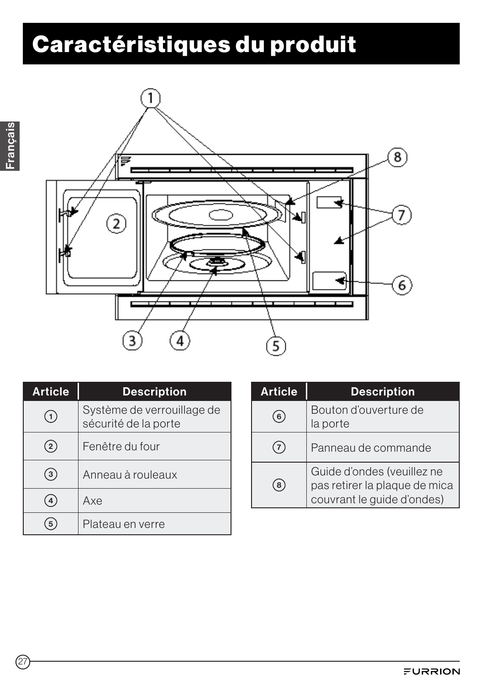# Caractéristiques du produit



| <b>Article</b> | <b>Description</b>                                 |
|----------------|----------------------------------------------------|
| $\mathbf{1}$   | Système de verrouillage de<br>sécurité de la porte |
| $\overline{2}$ | Fenêtre du four                                    |
| 3              | Anneau à rouleaux                                  |
| 4              | Axe                                                |
|                | Plateau en verre                                   |

| <b>Article</b> | <b>Description</b>                                                                        |
|----------------|-------------------------------------------------------------------------------------------|
| 6              | Bouton d'ouverture de<br>la porte                                                         |
|                | Panneau de commande                                                                       |
| 8              | Guide d'ondes (veuillez ne<br>pas retirer la plaque de mica<br>couvrant le guide d'ondes) |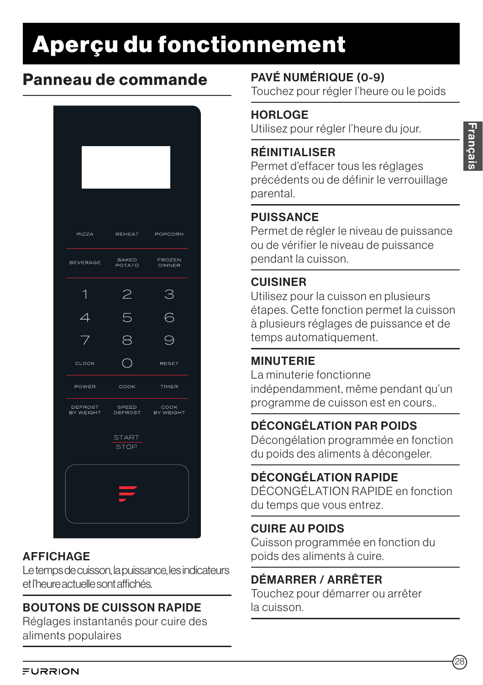# Aperçu du fonctionnement

## Panneau de commande



### **AFFICHAGE**

Le temps de cuisson, la puissance, les indicateurs et l'heure actuelle sont affichés.

### BOUTONS DE CUISSON RAPIDE

Réglages instantanés pour cuire des aliments populaires

## PAVÉ NUMÉRIQUE (0-9)

Touchez pour régler l'heure ou le poids

### **HORLOGE**

Utilisez pour régler l'heure du jour.

### RÉINITIALISER

Permet d'effacer tous les réglages précédents ou de définir le verrouillage parental.

### **PUISSANCE**

Permet de régler le niveau de puissance ou de vérifier le niveau de puissance pendant la cuisson.

### CUISINER

Utilisez pour la cuisson en plusieurs étapes. Cette fonction permet la cuisson à plusieurs réglages de puissance et de temps automatiquement.

### MINUTERIE

La minuterie fonctionne indépendamment, même pendant qu'un programme de cuisson est en cours..

### DÉCONGÉLATION PAR POIDS

Décongélation programmée en fonction du poids des aliments à décongeler.

### DÉCONGÉLATION RAPIDE

DÉCONGÉLATION RAPIDE en fonction du temps que vous entrez.

### CUIRE AU POIDS

Cuisson programmée en fonction du poids des aliments à cuire.

### DÉMARRER / ARRÊTER

Touchez pour démarrer ou arrêter la cuisson.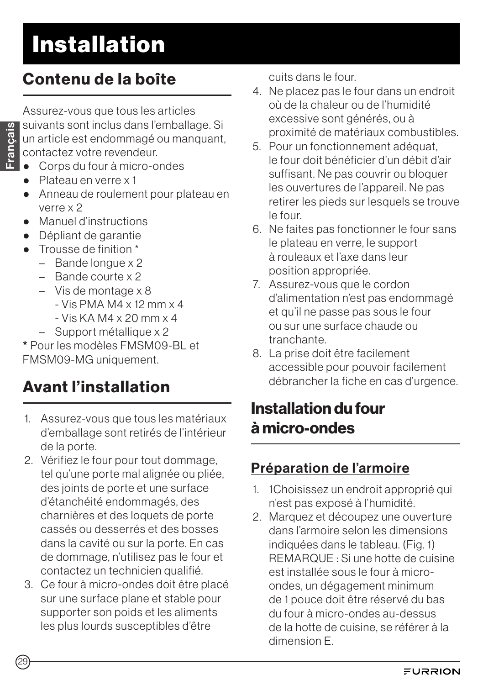## Contenu de la boîte

Assurez-vous que tous les articles suivants sont inclus dans l'emballage. Si un article est endommagé ou manquant, contactez votre revendeur.

- Corps du four à micro-ondes
- Plateau en verre x 1
- Anneau de roulement pour plateau en verre x 2
- Manuel d'instructions
- Dépliant de garantie
- Trousse de finition \*
	- Bande longue x 2
	- Bande courte x 2
	- Vis de montage x 8  $-$  Vis PMA M4 x 12 mm x 4  $-$  Vis KA M4 x 20 mm x 4
	- Support métallique x 2

\* Pour les modèles FMSM09-BL et FMSM09-MG uniquement.

## Avant l'installation

- 1. Assurez-vous que tous les matériaux d'emballage sont retirés de l'intérieur de la porte.
- 2. Vérifiez le four pour tout dommage, tel qu'une porte mal alignée ou pliée, des joints de porte et une surface d'étanchéité endommagés, des charnières et des loquets de porte cassés ou desserrés et des bosses dans la cavité ou sur la porte. En cas de dommage, n'utilisez pas le four et contactez un technicien qualifié.
- 3. Ce four à micro-ondes doit être placé sur une surface plane et stable pour supporter son poids et les aliments les plus lourds susceptibles d'être

cuits dans le four.

- 4. Ne placez pas le four dans un endroit où de la chaleur ou de l'humidité excessive sont générés, ou à proximité de matériaux combustibles.
- 5. Pour un fonctionnement adéquat, le four doit bénéficier d'un débit d'air suffisant. Ne pas couvrir ou bloquer les ouvertures de l'appareil. Ne pas retirer les pieds sur lesquels se trouve le four.
- 6. Ne faites pas fonctionner le four sans le plateau en verre, le support à rouleaux et l'axe dans leur position appropriée.
- 7. Assurez-vous que le cordon d'alimentation n'est pas endommagé et qu'il ne passe pas sous le four ou sur une surface chaude ou tranchante.
- 8. La prise doit être facilement accessible pour pouvoir facilement débrancher la fiche en cas d'urgence.

## Installation du four à micro-ondes

## Préparation de l'armoire

- 1. 1Choisissez un endroit approprié qui n'est pas exposé à l'humidité.
- 2. Marquez et découpez une ouverture dans l'armoire selon les dimensions indiquées dans le tableau. (Fig. 1) REMARQUE : Si une hotte de cuisine est installée sous le four à microondes, un dégagement minimum de 1 pouce doit être réservé du bas du four à micro-ondes au-dessus de la hotte de cuisine, se référer à la dimension E.

Français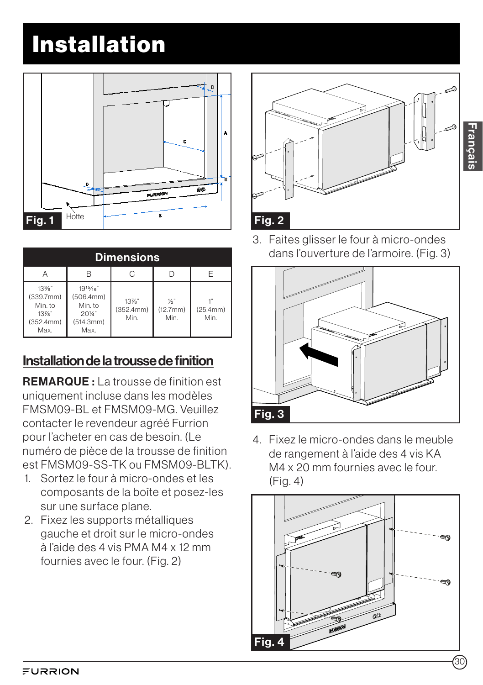

| <b>Dimensions</b>                                         |                                                                 |                               |                                   |                  |
|-----------------------------------------------------------|-----------------------------------------------------------------|-------------------------------|-----------------------------------|------------------|
|                                                           | R                                                               |                               |                                   | F                |
| 13%"<br>(339.7mm)<br>Min. to<br>13%"<br>(352.4mm)<br>Max. | 1915/16"<br>(506.4mm)<br>Min. to<br>201/4"<br>(514.3mm)<br>Max. | $13\%$ "<br>(352.4mm)<br>Min. | $\frac{1}{2}$<br>(12.7mm)<br>Min. | (25.4mm)<br>Min. |

### Installation de la trousse de finition

REMARQUE : La trousse de finition est uniquement incluse dans les modèles FMSM09-BL et FMSM09-MG. Veuillez contacter le revendeur agréé Furrion pour l'acheter en cas de besoin. (Le numéro de pièce de la trousse de finition est FMSM09-SS-TK ou FMSM09-BLTK).

- 1. Sortez le four à micro-ondes et les composants de la boîte et posez-les sur une surface plane.
- 2. Fixez les supports métalliques gauche et droit sur le micro-ondes à l'aide des 4 vis PMA M4 x 12 mm fournies avec le four. (Fig. 2)



3. Faites glisser le four à micro-ondes dans l'ouverture de l'armoire. (Fig. 3)



4. Fixez le micro-ondes dans le meuble de rangement à l'aide des 4 vis KA M4 x 20 mm fournies avec le four. (Fig. 4)

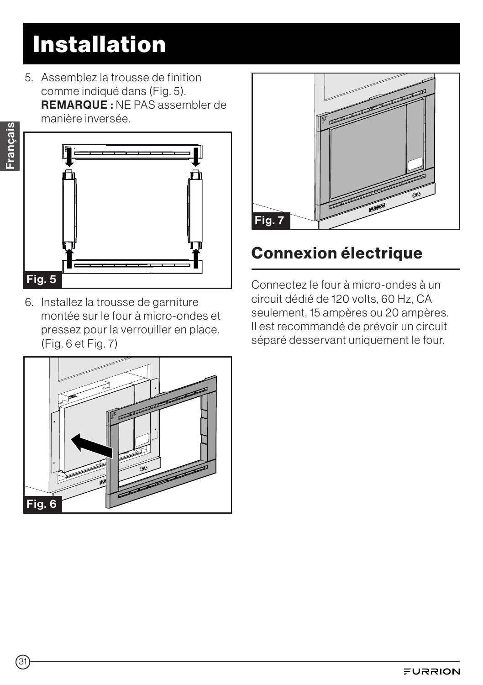5. Assemblez la trousse de finition comme indiqué dans (Fig. 5). REMARQUE : NE PAS assembler de manière inversée.



6. Installez la trousse de garniture montée sur le four à micro-ondes et pressez pour la verrouiller en place. (Fig. 6 et Fig. 7)





## Connexion électrique

Connectez le four à micro-ondes à un circuit dédié de 120 volts, 60 Hz, CA seulement, 15 ampères ou 20 ampères. Il est recommandé de prévoir un circuit séparé desservant uniquement le four.

Français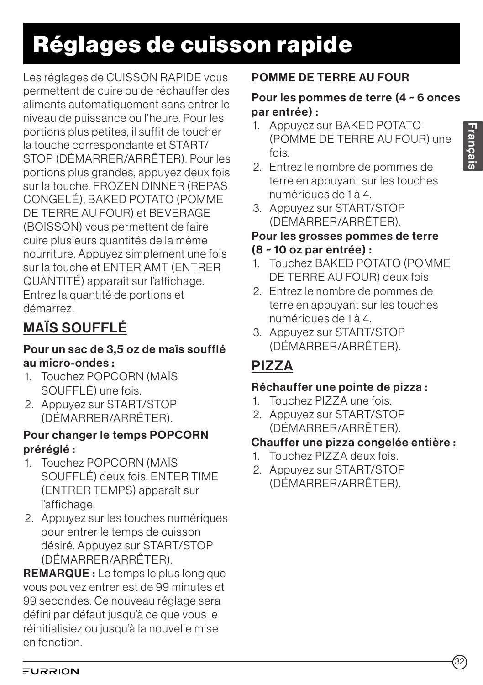# Réglages de cuisson rapide

Les réglages de CUISSON RAPIDE vous permettent de cuire ou de réchauffer des aliments automatiquement sans entrer le niveau de puissance ou l'heure. Pour les portions plus petites, il suffit de toucher la touche correspondante et START/ STOP (DÉMARRER/ARRÊTER). Pour les portions plus grandes, appuyez deux fois sur la touche. FROZEN DINNER (REPAS CONGELÉ), BAKED POTATO (POMME DE TERRE AU FOUR) et BEVERAGE (BOISSON) vous permettent de faire cuire plusieurs quantités de la même nourriture. Appuyez simplement une fois sur la touche et ENTER AMT (ENTRER QUANTITÉ) apparaît sur l'affichage. Entrez la quantité de portions et démarrez.

## MAÏS SOUFFLÉ

#### Pour un sac de 3,5 oz de maïs soufflé au micro-ondes :

- 1. Touchez POPCORN (MAÏS SOUFFLÉ) une fois.
- 2. Appuyez sur START/STOP (DÉMARRER/ARRÊTER).

#### Pour changer le temps POPCORN préréglé :

- 1. Touchez POPCORN (MAÏS SOUFFLÉ) deux fois. ENTER TIME (ENTRER TEMPS) apparaît sur l'affichage.
- 2. Appuyez sur les touches numériques pour entrer le temps de cuisson désiré. Appuyez sur START/STOP (DÉMARRER/ARRÊTER).

REMARQUE : Le temps le plus long que vous pouvez entrer est de 99 minutes et 99 secondes. Ce nouveau réglage sera défini par défaut jusqu'à ce que vous le réinitialisiez ou jusqu'à la nouvelle mise en fonction.

### POMME DE TERRE AU FOUR

#### Pour les pommes de terre (4 ~ 6 onces par entrée) :

- 1. Appuyez sur BAKED POTATO (POMME DE TERRE AU FOUR) une fois.
- 2. Entrez le nombre de pommes de terre en appuyant sur les touches numériques de 1 à 4.
- 3. Appuyez sur START/STOP (DÉMARRER/ARRÊTER).

## Pour les grosses pommes de terre

#### (8 ~ 10 oz par entrée) :

- 1. Touchez BAKED POTATO (POMME DE TERRE AU FOUR) deux fois.
- 2. Entrez le nombre de pommes de terre en appuyant sur les touches numériques de 1 à 4.
- 3. Appuyez sur START/STOP (DÉMARRER/ARRÊTER).

## PIZZA

### Réchauffer une pointe de pizza :

- 1. Touchez PIZZA une fois.
- 2. Appuyez sur START/STOP (DÉMARRER/ARRÊTER).

### Chauffer une pizza congelée entière :

- 1. Touchez PIZZA deux fois.
- 2. Appuyez sur START/STOP (DÉMARRER/ARRÊTER).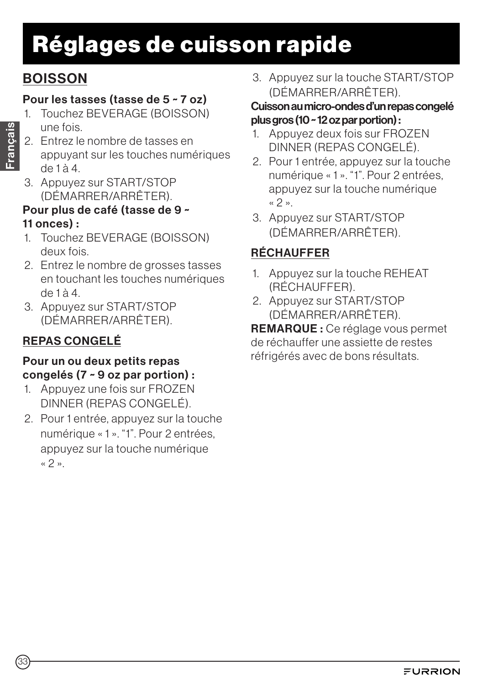# Réglages de cuisson rapide

## **BOISSON**

### Pour les tasses (tasse de 5 ~ 7 oz)

- 1. Touchez BEVERAGE (BOISSON) une fois.
- 2. Entrez le nombre de tasses en appuyant sur les touches numériques de 1 à 4.
- 3. Appuyez sur START/STOP (DÉMARRER/ARRÊTER).

### Pour plus de café (tasse de 9 ~ 11 onces) :

- 1. Touchez BEVERAGE (BOISSON) deux fois.
- 2. Entrez le nombre de grosses tasses en touchant les touches numériques de 1 à 4.
- 3. Appuyez sur START/STOP (DÉMARRER/ARRÊTER).

## REPAS CONGELÉ

#### Pour un ou deux petits repas congelés (7 ~ 9 oz par portion) :

- 1. Appuyez une fois sur FROZEN DINNER (REPAS CONGELÉ).
- 2. Pour 1 entrée, appuyez sur la touche numérique « 1 ». "1". Pour 2 entrées, appuyez sur la touche numérique « 2 ».

3. Appuyez sur la touche START/STOP (DÉMARRER/ARRÊTER).

#### Cuisson au micro-ondes d'un repas congelé plus gros (10 ~ 12 oz par portion) :

- 1. Appuyez deux fois sur FROZEN DINNER (REPAS CONGELÉ).
- 2. Pour 1 entrée, appuyez sur la touche numérique « 1 ». "1". Pour 2 entrées, appuyez sur la touche numérique « 2 ».
- 3. Appuyez sur START/STOP (DÉMARRER/ARRÊTER).

## RÉCHAUFFER

- 1. Appuyez sur la touche REHEAT (RÉCHAUFFER).
- 2. Appuyez sur START/STOP (DÉMARRER/ARRÊTER).

REMARQUE : Ce réglage vous permet de réchauffer une assiette de restes réfrigérés avec de bons résultats.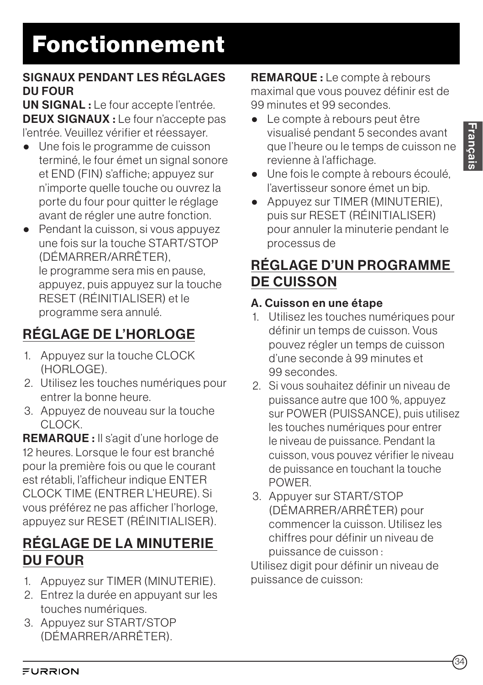#### SIGNAUX PENDANT LES RÉGLAGES DU FOUR

UN SIGNAL : Le four accepte l'entrée. DEUX SIGNAUX : Le four n'accepte pas l'entrée. Veuillez vérifier et réessayer.

- Une fois le programme de cuisson terminé, le four émet un signal sonore et END (FIN) s'affiche; appuyez sur n'importe quelle touche ou ouvrez la porte du four pour quitter le réglage avant de régler une autre fonction.
- Pendant la cuisson, si vous appuyez une fois sur la touche START/STOP (DÉMARRER/ARRÊTER), le programme sera mis en pause, appuyez, puis appuyez sur la touche RESET (RÉINITIALISER) et le programme sera annulé.

## RÉGLAGE DE L'HORLOGE

- 1. Appuyez sur la touche CLOCK (HORLOGE).
- 2. Utilisez les touches numériques pour entrer la bonne heure.
- 3. Appuyez de nouveau sur la touche CLOCK.

REMARQUE : Il s'agit d'une horloge de 12 heures. Lorsque le four est branché pour la première fois ou que le courant est rétabli, l'afficheur indique ENTER CLOCK TIME (ENTRER L'HEURE). Si vous préférez ne pas afficher l'horloge, appuyez sur RESET (RÉINITIALISER).

## RÉGLAGE DE LA MINUTERIE DU FOUR

- 1. Appuyez sur TIMER (MINUTERIE).
- 2. Entrez la durée en appuyant sur les touches numériques.
- 3. Appuyez sur START/STOP (DÉMARRER/ARRÊTER).

REMARQUE : Le compte à rebours maximal que vous pouvez définir est de 99 minutes et 99 secondes.

- Le compte à rebours peut être visualisé pendant 5 secondes avant que l'heure ou le temps de cuisson ne revienne à l'affichage.
- Une fois le compte à rebours écoulé, l'avertisseur sonore émet un bip.
- Appuyez sur TIMER (MINUTERIE), puis sur RESET (RÉINITIALISER) pour annuler la minuterie pendant le processus de

## RÉGLAGE D'UN PROGRAMME DE CUISSON

### A. Cuisson en une étape

- 1. Utilisez les touches numériques pour définir un temps de cuisson. Vous pouvez régler un temps de cuisson d'une seconde à 99 minutes et 99 secondes.
- 2. Si vous souhaitez définir un niveau de puissance autre que 100 %, appuyez sur POWER (PUISSANCE), puis utilisez les touches numériques pour entrer le niveau de puissance. Pendant la cuisson, vous pouvez vérifier le niveau de puissance en touchant la touche POWER.
- 3. Appuyer sur START/STOP (DÉMARRER/ARRÊTER) pour commencer la cuisson. Utilisez les chiffres pour définir un niveau de puissance de cuisson :

Utilisez digit pour définir un niveau de puissance de cuisson: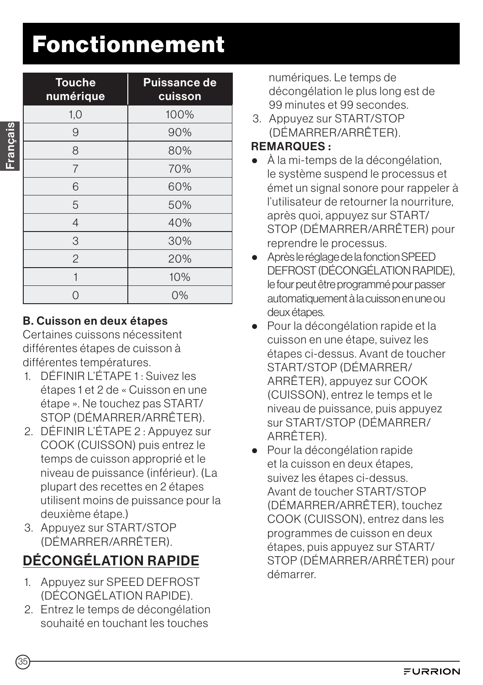# Fonctionnement

| <b>Touche</b><br>numérique | <b>Puissance de</b><br>cuisson |
|----------------------------|--------------------------------|
| 1,0                        | 100%                           |
| 9                          | 90%                            |
| 8                          | 80%                            |
| $\overline{7}$             | 70%                            |
| 6                          | 60%                            |
| 5                          | 50%                            |
| $\overline{4}$             | 40%                            |
| 3                          | 30%                            |
| $\overline{2}$             | 20%                            |
|                            | 10%                            |
|                            | $0\%$                          |

#### B. Cuisson en deux étapes

Certaines cuissons nécessitent différentes étapes de cuisson à différentes températures.

- 1. DÉFINIR L'ÉTAPE 1 : Suivez les étapes 1 et 2 de « Cuisson en une étape ». Ne touchez pas START/ STOP (DÉMARRER/ARRÊTER).
- 2. DÉFINIR L'ÉTAPE 2 : Appuyez sur COOK (CUISSON) puis entrez le temps de cuisson approprié et le niveau de puissance (inférieur). (La plupart des recettes en 2 étapes utilisent moins de puissance pour la deuxième étape.)
- 3. Appuyez sur START/STOP (DÉMARRER/ARRÊTER).

## DÉCONGÉLATION RAPIDE

- 1. Appuyez sur SPEED DEFROST (DÉCONGÉLATION RAPIDE).
- 2. Entrez le temps de décongélation souhaité en touchant les touches

numériques. Le temps de décongélation le plus long est de 99 minutes et 99 secondes.

3. Appuyez sur START/STOP (DÉMARRER/ARRÊTER).

#### REMARQUES :

- À la mi-temps de la décongélation, le système suspend le processus et émet un signal sonore pour rappeler à l'utilisateur de retourner la nourriture, après quoi, appuyez sur START/ STOP (DÉMARRER/ARRÊTER) pour reprendre le processus.
- Après le réglage de la fonction SPEED DEFROST (DÉCONGÉLATION RAPIDE), le four peut être programmé pour passer automatiquement à la cuisson en une ou deux étapes.
- Pour la décongélation rapide et la cuisson en une étape, suivez les étapes ci-dessus. Avant de toucher START/STOP (DÉMARRER/ ARRÊTER), appuyez sur COOK (CUISSON), entrez le temps et le niveau de puissance, puis appuyez sur START/STOP (DÉMARRER/ ARRÊTER).
- Pour la décongélation rapide et la cuisson en deux étapes, suivez les étapes ci-dessus. Avant de toucher START/STOP (DÉMARRER/ARRÊTER), touchez COOK (CUISSON), entrez dans les programmes de cuisson en deux étapes, puis appuyez sur START/ STOP (DÉMARRER/ARRÊTER) pour démarrer.

Français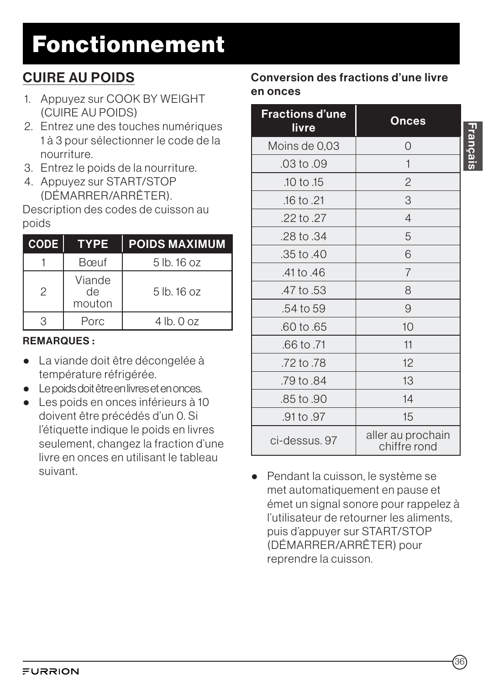# Fonctionnement

## CUIRE AU POIDS

- 1. Appuyez sur COOK BY WEIGHT (CUIRE AU POIDS)
- 2. Entrez une des touches numériques 1 à 3 pour sélectionner le code de la nourriture.
- 3. Entrez le poids de la nourriture.
- 4. Appuyez sur START/STOP (DÉMARRER/ARRÊTER).

Description des codes de cuisson au poids

| <b>CODE</b>   | <b>TYPE</b>            | <b>POIDS MAXIMUM</b> |
|---------------|------------------------|----------------------|
|               | Bœuf                   | $5$ lb. 16 oz        |
| $\mathcal{P}$ | Viande<br>de<br>mouton | $5$ lb. 16 oz        |
|               | Porc                   | $4$ lb. $0$ oz       |

### REMARQUES :

- La viande doit être décongelée à température réfrigérée.
- Le poids doit être en livres et en onces.
- Les poids en onces inférieurs à 10 doivent être précédés d'un 0. Si l'étiquette indique le poids en livres seulement, changez la fraction d'une livre en onces en utilisant le tableau suivant.

### Conversion des fractions d'une livre en onces

| <b>Fractions d'une</b><br><b>livre</b> | <b>Onces</b>                      |
|----------------------------------------|-----------------------------------|
| Moins de 0,03                          | $\Omega$                          |
| .03 to .09                             | $\mathbf 1$                       |
| .10 to .15                             | $\overline{2}$                    |
| $.16$ to $.21$                         | 3                                 |
| .22 to .27                             | $\overline{4}$                    |
| .28 to .34                             | 5                                 |
| .35 to .40                             | 6                                 |
| .41 to .46                             | $\overline{7}$                    |
| .47 to .53                             | 8                                 |
| .54 to 59                              | 9                                 |
| .60 to .65                             | 10                                |
| .66 to .71                             | 11                                |
| .72 to .78                             | 12                                |
| .79 to .84                             | 13                                |
| .85 to .90                             | 14                                |
| .91 to .97                             | 15                                |
| ci-dessus, 97                          | aller au prochain<br>chiffre rond |

● Pendant la cuisson, le système se met automatiquement en pause et émet un signal sonore pour rappelez à l'utilisateur de retourner les aliments, puis d'appuyer sur START/STOP (DÉMARRER/ARRÊTER) pour reprendre la cuisson.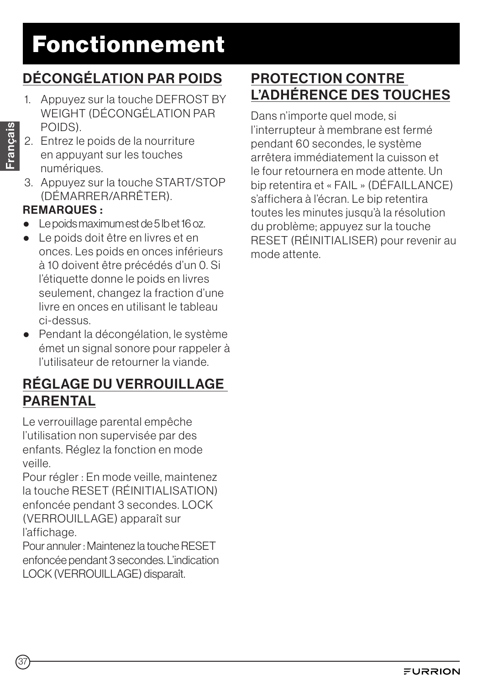## DÉCONGÉLATION PAR POIDS

- 1. Appuyez sur la touche DEFROST BY WEIGHT (DÉCONGÉLATION PAR POIDS).
- 2. Entrez le poids de la nourriture en appuyant sur les touches numériques.
- 3. Appuyez sur la touche START/STOP (DÉMARRER/ARRÊTER).

### REMARQUES :

- Le poids maximum est de 5 lb et 16 oz.
- Le poids doit être en livres et en onces. Les poids en onces inférieurs à 10 doivent être précédés d'un 0. Si l'étiquette donne le poids en livres seulement, changez la fraction d'une livre en onces en utilisant le tableau ci-dessus.
- Pendant la décongélation, le système émet un signal sonore pour rappeler à l'utilisateur de retourner la viande.

### RÉGLAGE DU VERROUILLAGE PARENTAL

Le verrouillage parental empêche l'utilisation non supervisée par des enfants. Réglez la fonction en mode veille.

Pour régler : En mode veille, maintenez la touche RESET (RÉINITIALISATION) enfoncée pendant 3 secondes. LOCK (VERROUILLAGE) apparaît sur l'affichage.

Pour annuler : Maintenez la touche RESET enfoncée pendant 3 secondes. L'indication LOCK (VERROUILLAGE) disparaît.

## PROTECTION CONTRE L'ADHÉRENCE DES TOUCHES

Dans n'importe quel mode, si l'interrupteur à membrane est fermé pendant 60 secondes, le système arrêtera immédiatement la cuisson et le four retournera en mode attente. Un bip retentira et « FAIL » (DÉFAILLANCE) s'affichera à l'écran. Le bip retentira toutes les minutes jusqu'à la résolution du problème; appuyez sur la touche RESET (RÉINITIALISER) pour revenir au mode attente.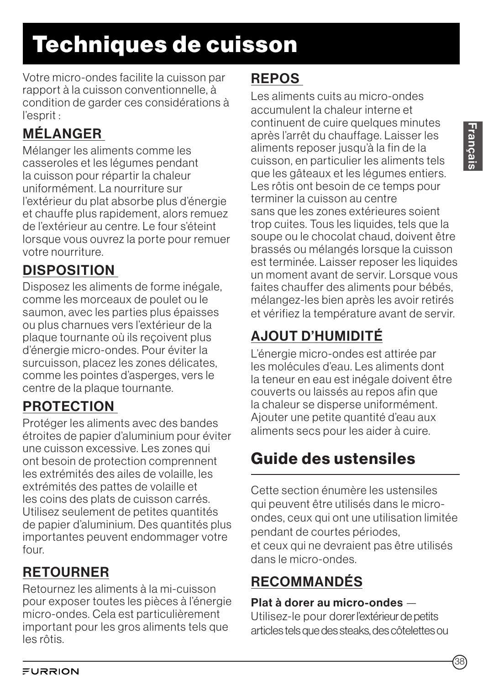Votre micro-ondes facilite la cuisson par rapport à la cuisson conventionnelle, à condition de garder ces considérations à l'esprit :

## MÉLANGER

Mélanger les aliments comme les casseroles et les légumes pendant la cuisson pour répartir la chaleur uniformément. La nourriture sur l'extérieur du plat absorbe plus d'énergie et chauffe plus rapidement, alors remuez de l'extérieur au centre. Le four s'éteint lorsque vous ouvrez la porte pour remuer votre nourriture.

## DISPOSITION

Disposez les aliments de forme inégale, comme les morceaux de poulet ou le saumon, avec les parties plus épaisses ou plus charnues vers l'extérieur de la plaque tournante où ils reçoivent plus d'énergie micro-ondes. Pour éviter la surcuisson, placez les zones délicates, comme les pointes d'asperges, vers le centre de la plaque tournante.

## **PROTECTION**

Protéger les aliments avec des bandes étroites de papier d'aluminium pour éviter une cuisson excessive. Les zones qui ont besoin de protection comprennent les extrémités des ailes de volaille, les extrémités des pattes de volaille et les coins des plats de cuisson carrés. Utilisez seulement de petites quantités de papier d'aluminium. Des quantités plus importantes peuvent endommager votre four.

## RETOURNER

Retournez les aliments à la mi-cuisson pour exposer toutes les pièces à l'énergie micro-ondes. Cela est particulièrement important pour les gros aliments tels que les rôtis.

## **REPOS**

Les aliments cuits au micro-ondes accumulent la chaleur interne et continuent de cuire quelques minutes après l'arrêt du chauffage. Laisser les aliments reposer jusqu'à la fin de la cuisson, en particulier les aliments tels que les gâteaux et les légumes entiers. Les rôtis ont besoin de ce temps pour terminer la cuisson au centre sans que les zones extérieures soient trop cuites. Tous les liquides, tels que la soupe ou le chocolat chaud, doivent être brassés ou mélangés lorsque la cuisson est terminée. Laisser reposer les liquides un moment avant de servir. Lorsque vous faites chauffer des aliments pour bébés, mélangez-les bien après les avoir retirés et vérifiez la température avant de servir.

## AJOUT D'HUMIDITÉ

L'énergie micro-ondes est attirée par les molécules d'eau. Les aliments dont la teneur en eau est inégale doivent être couverts ou laissés au repos afin que la chaleur se disperse uniformément. Ajouter une petite quantité d'eau aux aliments secs pour les aider à cuire.

## Guide des ustensiles

Cette section énumère les ustensiles qui peuvent être utilisés dans le microondes, ceux qui ont une utilisation limitée pendant de courtes périodes, et ceux qui ne devraient pas être utilisés dans le micro-ondes.

## RECOMMANDÉS

### Plat à dorer au micro-ondes —

Utilisez-le pour dorer l'extérieur de petits articles tels que des steaks, des côtelettes ou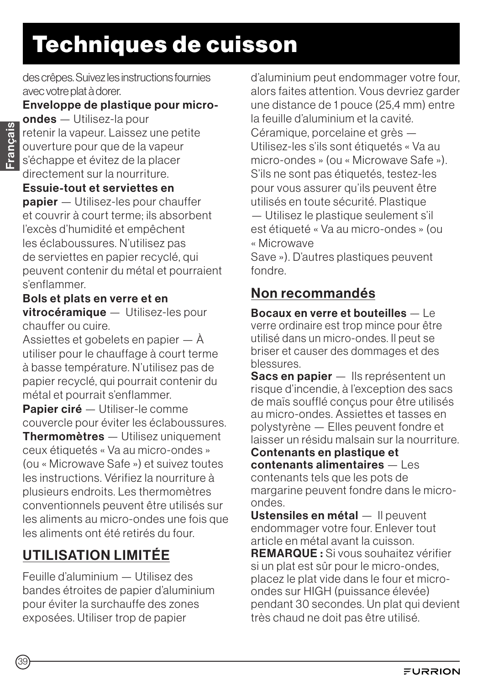# Techniques de cuisson

des crêpes. Suivez les instructions fournies avec votre plat à dorer.

#### Enveloppe de plastique pour micro-

ondes — Utilisez-la pour retenir la vapeur. Laissez une petite ouverture pour que de la vapeur s'échappe et évitez de la placer directement sur la nourriture.

#### Essuie-tout et serviettes en

papier — Utilisez-les pour chauffer et couvrir à court terme; ils absorbent l'excès d'humidité et empêchent les éclaboussures. N'utilisez pas de serviettes en papier recyclé, qui peuvent contenir du métal et pourraient s'enflammer.

#### Bols et plats en verre et en vitrocéramique — Utilisez-les pour chauffer ou cuire.

Assiettes et gobelets en papier — À utiliser pour le chauffage à court terme à basse température. N'utilisez pas de papier recyclé, qui pourrait contenir du métal et pourrait s'enflammer.

Papier ciré — Utiliser-le comme couvercle pour éviter les éclaboussures.

Thermomètres — Utilisez uniquement ceux étiquetés « Va au micro-ondes » (ou « Microwave Safe ») et suivez toutes les instructions. Vérifiez la nourriture à plusieurs endroits. Les thermomètres conventionnels peuvent être utilisés sur les aliments au micro-ondes une fois que les aliments ont été retirés du four.

## UTILISATION LIMITÉE

Feuille d'aluminium — Utilisez des bandes étroites de papier d'aluminium pour éviter la surchauffe des zones exposées. Utiliser trop de papier

d'aluminium peut endommager votre four, alors faites attention. Vous devriez garder une distance de 1 pouce (25,4 mm) entre la feuille d'aluminium et la cavité. Céramique, porcelaine et grès — Utilisez-les s'ils sont étiquetés « Va au micro-ondes » (ou « Microwave Safe »). S'ils ne sont pas étiquetés, testez-les pour vous assurer qu'ils peuvent être utilisés en toute sécurité. Plastique — Utilisez le plastique seulement s'il est étiqueté « Va au micro-ondes » (ou « Microwave

Save »). D'autres plastiques peuvent fondre.

### Non recommandés

Bocaux en verre et bouteilles — Le verre ordinaire est trop mince pour être utilisé dans un micro-ondes. Il peut se briser et causer des dommages et des blessures.

Sacs en papier — Ils représentent un risque d'incendie, à l'exception des sacs de maïs soufflé conçus pour être utilisés au micro-ondes. Assiettes et tasses en polystyrène — Elles peuvent fondre et laisser un résidu malsain sur la nourriture.

Contenants en plastique et  $contenants$  alimentaires  $-1$  es contenants tels que les pots de margarine peuvent fondre dans le microondes.

Ustensiles en métal — Il peuvent endommager votre four. Enlever tout article en métal avant la cuisson.

REMARQUE : Si vous souhaitez vérifier si un plat est sûr pour le micro-ondes, placez le plat vide dans le four et microondes sur HIGH (puissance élevée) pendant 30 secondes. Un plat qui devient très chaud ne doit pas être utilisé.

39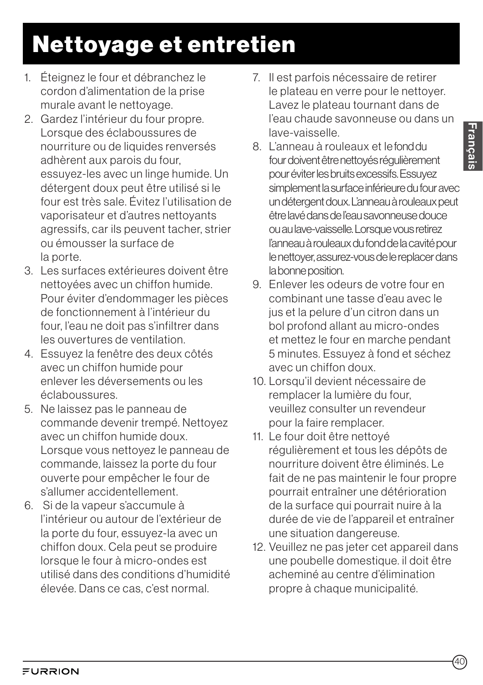# Nettoyage et entretien

- 1. Éteignez le four et débranchez le cordon d'alimentation de la prise murale avant le nettoyage.
- 2. Gardez l'intérieur du four propre. Lorsque des éclaboussures de nourriture ou de liquides renversés adhèrent aux parois du four, essuyez-les avec un linge humide. Un détergent doux peut être utilisé si le four est très sale. Évitez l'utilisation de vaporisateur et d'autres nettoyants agressifs, car ils peuvent tacher, strier ou émousser la surface de la porte.
- 3. Les surfaces extérieures doivent être nettoyées avec un chiffon humide. Pour éviter d'endommager les pièces de fonctionnement à l'intérieur du four, l'eau ne doit pas s'infiltrer dans les ouvertures de ventilation.
- 4. Essuyez la fenêtre des deux côtés avec un chiffon humide pour enlever les déversements ou les éclaboussures.
- 5. Ne laissez pas le panneau de commande devenir trempé. Nettoyez avec un chiffon humide doux. Lorsque vous nettoyez le panneau de commande, laissez la porte du four ouverte pour empêcher le four de s'allumer accidentellement.
- 6. Si de la vapeur s'accumule à l'intérieur ou autour de l'extérieur de la porte du four, essuyez-la avec un chiffon doux. Cela peut se produire lorsque le four à micro-ondes est utilisé dans des conditions d'humidité élevée. Dans ce cas, c'est normal.
- 7. Il est parfois nécessaire de retirer le plateau en verre pour le nettoyer. Lavez le plateau tournant dans de l'eau chaude savonneuse ou dans un lave-vaisselle.
- 8. L'anneau à rouleaux et le fond du four doivent être nettoyés régulièrement pour éviter les bruits excessifs. Essuyez simplement la surface inférieure du four avec un détergent doux. L'anneau à rouleaux peut être lavé dans de l'eau savonneuse douce ou au lave-vaisselle. Lorsque vous retirez l'anneau à rouleaux du fond de la cavité pour le nettoyer, assurez-vous de le replacer dans la bonne position.
- 9. Enlever les odeurs de votre four en combinant une tasse d'eau avec le jus et la pelure d'un citron dans un bol profond allant au micro-ondes et mettez le four en marche pendant 5 minutes. Essuyez à fond et séchez avec un chiffon doux.
- 10. Lorsqu'il devient nécessaire de remplacer la lumière du four, veuillez consulter un revendeur pour la faire remplacer.
- 11. Le four doit être nettoyé régulièrement et tous les dépôts de nourriture doivent être éliminés. Le fait de ne pas maintenir le four propre pourrait entraîner une détérioration de la surface qui pourrait nuire à la durée de vie de l'appareil et entraîner une situation dangereuse.
- 12. Veuillez ne pas jeter cet appareil dans une poubelle domestique. il doit être acheminé au centre d'élimination propre à chaque municipalité.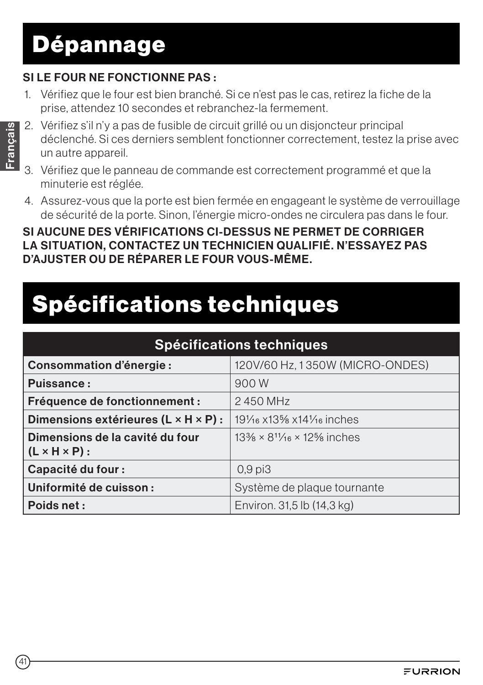# Dépannage

#### $S$ I LE FOUR NE FONCTIONNE PAS  $\cdot$

1. Vérifiez que le four est bien branché. Si ce n'est pas le cas, retirez la fiche de la prise, attendez 10 secondes et rebranchez-la fermement.

- 2. Vérifiez s'il n'y a pas de fusible de circuit grillé ou un disjoncteur principal déclenché. Si ces derniers semblent fonctionner correctement, testez la prise avec un autre appareil.
- 3. Vérifiez que le panneau de commande est correctement programmé et que la minuterie est réglée.
- 4. Assurez-vous que la porte est bien fermée en engageant le système de verrouillage de sécurité de la porte. Sinon, l'énergie micro-ondes ne circulera pas dans le four.

SI AUCUNE DES VÉRIFICATIONS CI-DESSUS NE PERMET DE CORRIGER LA SITUATION, CONTACTEZ UN TECHNICIEN QUALIFIÉ. N'ESSAYEZ PAS D'AJUSTER OU DE RÉPARER LE FOUR VOUS-MÊME.

# Spécifications techniques

| Spécifications techniques                                             |                                               |  |
|-----------------------------------------------------------------------|-----------------------------------------------|--|
| <b>Consommation d'énergie:</b>                                        | 120V/60 Hz, 1350W (MICRO-ONDES)               |  |
| Puissance:                                                            | 900 W                                         |  |
| Fréquence de fonctionnement :                                         | 2450 MHz                                      |  |
| Dimensions extérieures (L × H × P) :                                  | 191/16 x13% x141/16 inches                    |  |
| Dimensions de la cavité du four<br>$\mid$ (L $\times$ H $\times$ P) : | $13\% \times 8^{11}/_{16} \times 12\%$ inches |  |
| <b>Capacité du four:</b>                                              | $0,9$ pi $3$                                  |  |
| Uniformité de cuisson :                                               | Système de plaque tournante                   |  |
| Poids net:                                                            | Environ. 31,5 lb (14,3 kg)                    |  |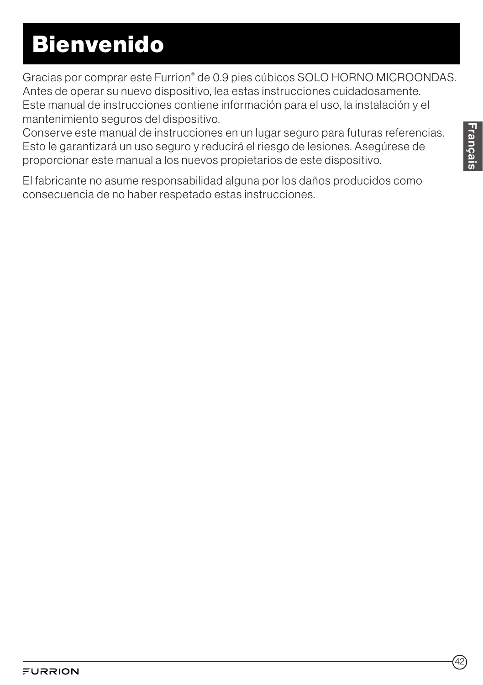# Bienvenido

Gracias por comprar este Furrion® de 0.9 pies cúbicos SOLO HORNO MICROONDAS. Antes de operar su nuevo dispositivo, lea estas instrucciones cuidadosamente. Este manual de instrucciones contiene información para el uso, la instalación y el mantenimiento seguros del dispositivo.

Conserve este manual de instrucciones en un lugar seguro para futuras referencias. Esto le garantizará un uso seguro y reducirá el riesgo de lesiones. Asegúrese de proporcionar este manual a los nuevos propietarios de este dispositivo.

El fabricante no asume responsabilidad alguna por los daños producidos como consecuencia de no haber respetado estas instrucciones.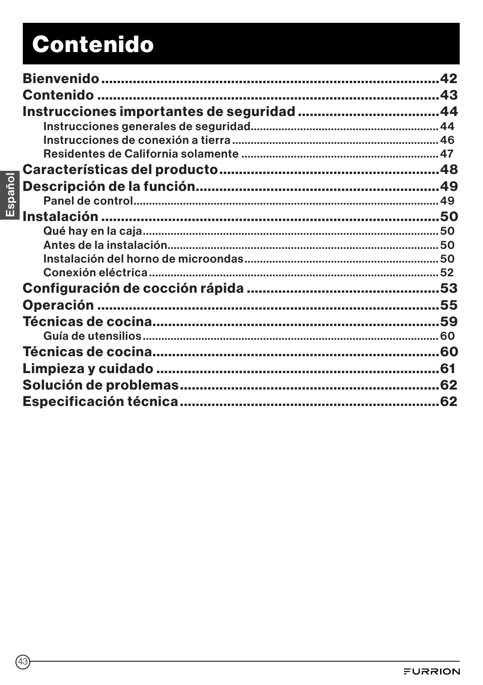# **Contenido**

|         | 42 |
|---------|----|
|         |    |
|         |    |
|         |    |
|         |    |
|         |    |
|         |    |
| Español |    |
|         |    |
|         |    |
|         |    |
|         |    |
|         |    |
|         |    |
|         |    |
|         |    |
|         |    |
|         |    |
|         |    |
|         |    |
|         |    |
|         |    |
|         |    |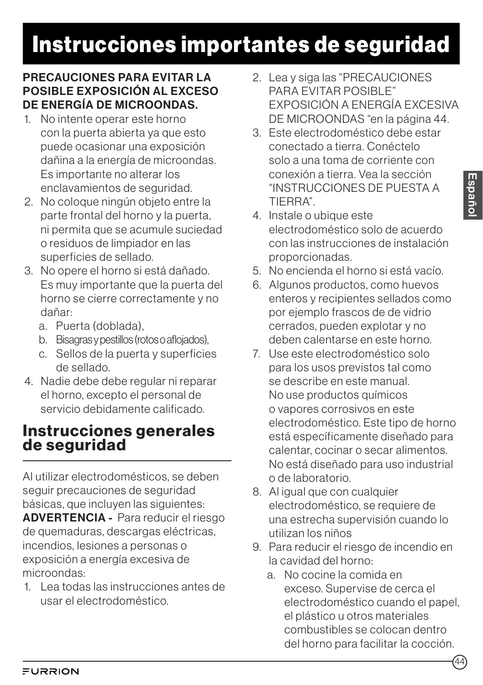#### PRECAUCIONES PARA EVITAR LA POSIBLE EXPOSICIÓN AL EXCESO DE ENERGÍA DE MICROONDAS.

- 1. No intente operar este horno con la puerta abierta ya que esto puede ocasionar una exposición dañina a la energía de microondas. Es importante no alterar los enclavamientos de seguridad.
- 2. No coloque ningún objeto entre la parte frontal del horno y la puerta, ni permita que se acumule suciedad o residuos de limpiador en las superficies de sellado.
- 3. No opere el horno si está dañado. Es muy importante que la puerta del horno se cierre correctamente y no dañar:
	- a. Puerta (doblada),
	- b. Bisagras y pestillos (rotos o aflojados),
	- c. Sellos de la puerta y superficies de sellado.
- 4. Nadie debe debe regular ni reparar el horno, excepto el personal de servicio debidamente calificado.

### Instrucciones generales de seguridad

Al utilizar electrodomésticos, se deben seguir precauciones de seguridad básicas, que incluyen las siguientes: ADVERTENCIA - Para reducir el riesgo de quemaduras, descargas eléctricas, incendios, lesiones a personas o exposición a energía excesiva de microondas:

1. Lea todas las instrucciones antes de usar el electrodoméstico.

- 2. Lea y siga las "PRECAUCIONES PARA EVITAR POSIBLE" EXPOSICIÓN A ENERGÍA EXCESIVA DE MICROONDAS "en la página 44.
- 3. Este electrodoméstico debe estar conectado a tierra. Conéctelo solo a una toma de corriente con conexión a tierra. Vea la sección "INSTRUCCIONES DE PUESTA A TIERRA".
- 4. Instale o ubique este electrodoméstico solo de acuerdo con las instrucciones de instalación proporcionadas.
- 5. No encienda el horno si está vacío.
- 6. Algunos productos, como huevos enteros y recipientes sellados como por ejemplo frascos de de vidrio cerrados, pueden explotar y no deben calentarse en este horno.
- 7. Use este electrodoméstico solo para los usos previstos tal como se describe en este manual. No use productos químicos o vapores corrosivos en este electrodoméstico. Este tipo de horno está específicamente diseñado para calentar, cocinar o secar alimentos. No está diseñado para uso industrial o de laboratorio.
- 8. Al igual que con cualquier electrodoméstico, se requiere de una estrecha supervisión cuando lo utilizan los niños
- 9. Para reducir el riesgo de incendio en la cavidad del horno:
	- a. No cocine la comida en exceso. Supervise de cerca el electrodoméstico cuando el papel, el plástico u otros materiales combustibles se colocan dentro del horno para facilitar la cocción.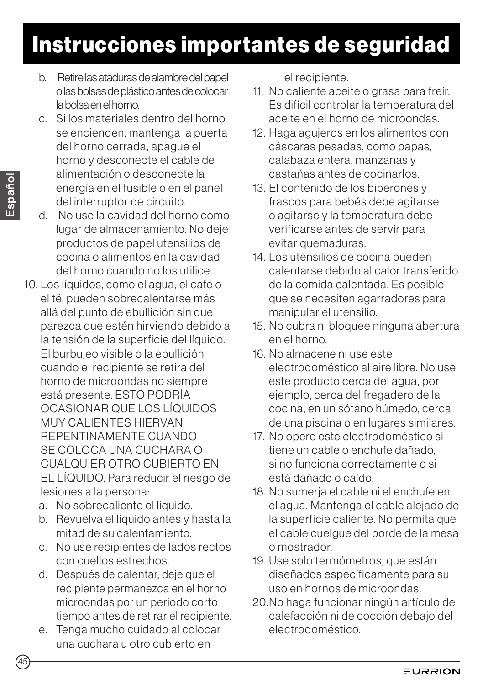- b. Retire las ataduras de alambre del papel o las bolsas de plástico antes de colocar la bolsa en el horno.
- c. Si los materiales dentro del horno se encienden, mantenga la puerta del horno cerrada, apague el horno y desconecte el cable de alimentación o desconecte la energía en el fusible o en el panel del interruptor de circuito.
- d. No use la cavidad del horno como lugar de almacenamiento. No deje productos de papel utensilios de cocina o alimentos en la cavidad del horno cuando no los utilice.
- 10. Los líquidos, como el agua, el café o el té, pueden sobrecalentarse más allá del punto de ebullición sin que parezca que estén hirviendo debido a la tensión de la superficie del líquido. El burbujeo visible o la ebullición cuando el recipiente se retira del horno de microondas no siempre está presente. ESTO PODRÍA OCASIONAR QUE LOS LÍQUIDOS MUY CALIENTES HIERVAN REPENTINAMENTE CUANDO SE COLOCA UNA CUCHARA O CUALQUIER OTRO CUBIERTO EN EL LÍQUIDO. Para reducir el riesgo de lesiones a la persona:
	- a. No sobrecaliente el líquido.
	- b. Revuelva el líquido antes y hasta la mitad de su calentamiento.
	- c. No use recipientes de lados rectos con cuellos estrechos.
	- d. Después de calentar, deje que el recipiente permanezca en el horno microondas por un periodo corto tiempo antes de retirar el recipiente.
	- e. Tenga mucho cuidado al colocar una cuchara u otro cubierto en

el recipiente.

- 11. No caliente aceite o grasa para freír. Es difícil controlar la temperatura del aceite en el horno de microondas.
- 12. Haga agujeros en los alimentos con cáscaras pesadas, como papas, calabaza entera, manzanas y castañas antes de cocinarlos.
- 13. El contenido de los biberones y frascos para bebés debe agitarse o agitarse y la temperatura debe verificarse antes de servir para evitar quemaduras.
- 14. Los utensilios de cocina pueden calentarse debido al calor transferido de la comida calentada. Es posible que se necesiten agarradores para manipular el utensilio.
- 15. No cubra ni bloquee ninguna abertura en el horno.
- 16. No almacene ni use este electrodoméstico al aire libre. No use este producto cerca del agua, por ejemplo, cerca del fregadero de la cocina, en un sótano húmedo, cerca de una piscina o en lugares similares.
- 17. No opere este electrodoméstico si tiene un cable o enchufe dañado, si no funciona correctamente o si está dañado o caído.
- 18. No sumerja el cable ni el enchufe en el agua. Mantenga el cable alejado de la superficie caliente. No permita que el cable cuelgue del borde de la mesa o mostrador.
- 19. Use solo termómetros, que están diseñados específicamente para su uso en hornos de microondas.
- 20.No haga funcionar ningún artículo de calefacción ni de cocción debajo del electrodoméstico.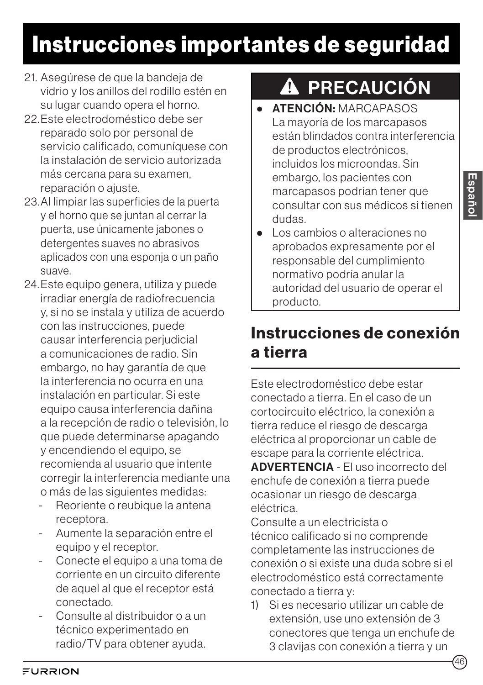- 21. Asegúrese de que la bandeja de vidrio y los anillos del rodillo estén en su lugar cuando opera el horno.
- 22.Este electrodoméstico debe ser reparado solo por personal de servicio calificado, comuníquese con la instalación de servicio autorizada más cercana para su examen, reparación o ajuste.
- 23.Al limpiar las superficies de la puerta y el horno que se juntan al cerrar la puerta, use únicamente jabones o detergentes suaves no abrasivos aplicados con una esponja o un paño suave.
- 24.Este equipo genera, utiliza y puede irradiar energía de radiofrecuencia y, si no se instala y utiliza de acuerdo con las instrucciones, puede causar interferencia perjudicial a comunicaciones de radio. Sin embargo, no hay garantía de que la interferencia no ocurra en una instalación en particular. Si este equipo causa interferencia dañina a la recepción de radio o televisión, lo que puede determinarse apagando y encendiendo el equipo, se recomienda al usuario que intente corregir la interferencia mediante una o más de las siguientes medidas:
	- Reoriente o reubique la antena receptora.
	- Aumente la separación entre el equipo y el receptor.
	- Conecte el equipo a una toma de corriente en un circuito diferente de aquel al que el receptor está conectado.
	- Consulte al distribuidor o a un técnico experimentado en radio/TV para obtener ayuda.

# **A PRECAUCIÓN**

- ATENCIÓN·MARCAPASOS La mayoría de los marcapasos están blindados contra interferencia de productos electrónicos, incluidos los microondas. Sin embargo, los pacientes con marcapasos podrían tener que consultar con sus médicos si tienen dudas.
- Los cambios o alteraciones no aprobados expresamente por el responsable del cumplimiento normativo podría anular la autoridad del usuario de operar el producto.

## Instrucciones de conexión a tierra

Este electrodoméstico debe estar conectado a tierra. En el caso de un cortocircuito eléctrico, la conexión a tierra reduce el riesgo de descarga eléctrica al proporcionar un cable de escape para la corriente eléctrica. ADVERTENCIA - El uso incorrecto del enchufe de conexión a tierra puede ocasionar un riesgo de descarga eléctrica.

Consulte a un electricista o técnico calificado si no comprende completamente las instrucciones de conexión o si existe una duda sobre si el electrodoméstico está correctamente conectado a tierra y:

1) Si es necesario utilizar un cable de extensión, use uno extensión de 3 conectores que tenga un enchufe de 3 clavijas con conexión a tierra y un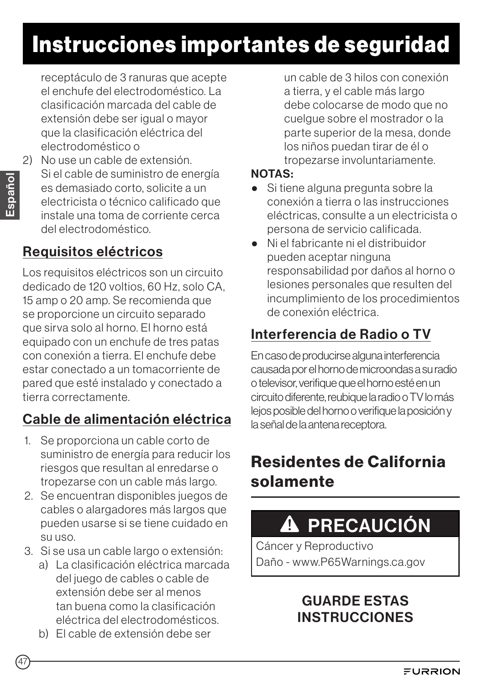receptáculo de 3 ranuras que acepte el enchufe del electrodoméstico. La clasificación marcada del cable de extensión debe ser igual o mayor que la clasificación eléctrica del electrodoméstico o

2) No use un cable de extensión. Si el cable de suministro de energía es demasiado corto, solicite a un electricista o técnico calificado que instale una toma de corriente cerca del electrodoméstico.

### Requisitos eléctricos

Los requisitos eléctricos son un circuito dedicado de 120 voltios, 60 Hz, solo CA, 15 amp o 20 amp. Se recomienda que se proporcione un circuito separado que sirva solo al horno. El horno está equipado con un enchufe de tres patas con conexión a tierra. El enchufe debe estar conectado a un tomacorriente de pared que esté instalado y conectado a tierra correctamente.

## Cable de alimentación eléctrica

- 1. Se proporciona un cable corto de suministro de energía para reducir los riesgos que resultan al enredarse o tropezarse con un cable más largo.
- 2. Se encuentran disponibles juegos de cables o alargadores más largos que pueden usarse si se tiene cuidado en su uso.
- 3. Si se usa un cable largo o extensión:
	- a) La clasificación eléctrica marcada del juego de cables o cable de extensión debe ser al menos tan buena como la clasificación eléctrica del electrodomésticos.
	- b) El cable de extensión debe ser

un cable de 3 hilos con conexión a tierra, y el cable más largo debe colocarse de modo que no cuelgue sobre el mostrador o la parte superior de la mesa, donde los niños puedan tirar de él o tropezarse involuntariamente.

#### NOTAS:

- Si tiene alguna pregunta sobre la conexión a tierra o las instrucciones eléctricas, consulte a un electricista o persona de servicio calificada.
- Ni el fabricante ni el distribuidor pueden aceptar ninguna responsabilidad por daños al horno o lesiones personales que resulten del incumplimiento de los procedimientos de conexión eléctrica.

## Interferencia de Radio o TV

En caso de producirse alguna interferencia causada por el horno de microondas a su radio o televisor, verifique que el horno esté en un circuito diferente, reubique la radio o TV lo más lejos posible del horno o verifique la posición y la señal de la antena receptora.

## Residentes de California solamente

#### PRECAUCIÓN  $\boldsymbol{\Lambda}$

Cáncer y Reproductivo Daño - www.P65Warnings.ca.gov

### GUARDE ESTAS **INSTRUCCIONES**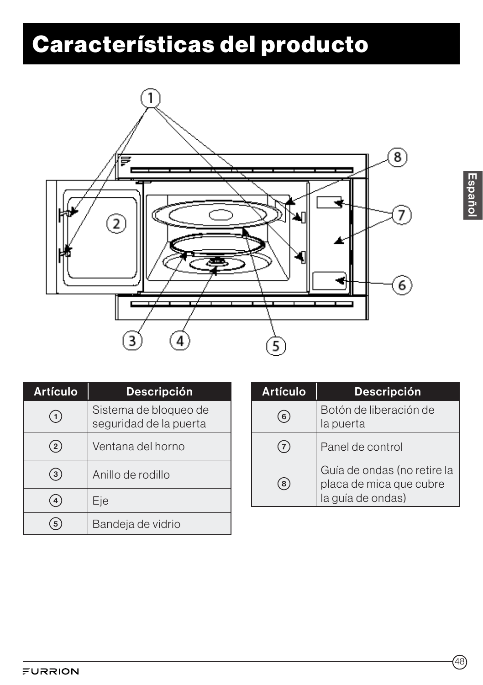# Características del producto



| <b>Artículo</b> | <b>Descripción</b>                              |
|-----------------|-------------------------------------------------|
| $\mathbf{1}$    | Sistema de bloqueo de<br>seguridad de la puerta |
| $\overline{2}$  | Ventana del horno                               |
| 3               | Anillo de rodillo                               |
|                 | Eje                                             |
|                 | Bandeja de vidrio                               |

| <b>Artículo</b> | <b>Descripción</b>                                                          |
|-----------------|-----------------------------------------------------------------------------|
| 6               | Botón de liberación de<br>la puerta                                         |
| $\cdot$ 7       | Panel de control                                                            |
| 8               | Guía de ondas (no retire la<br>placa de mica que cubre<br>la guía de ondas) |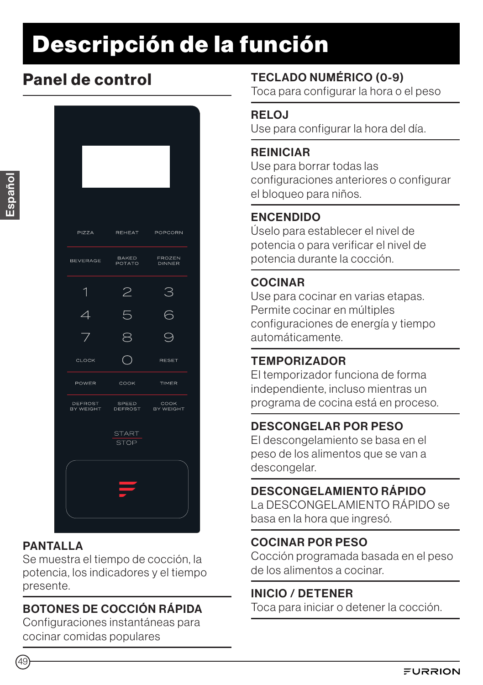# Descripción de la función

## Panel de control



### **PANTALLA**

Se muestra el tiempo de cocción, la potencia, los indicadores y el tiempo presente.

### BOTONES DE COCCIÓN RÁPIDA

Configuraciones instantáneas para cocinar comidas populares

### TECLADO NUMÉRICO (0-9)

Toca para configurar la hora o el peso

#### RELOJ

Use para configurar la hora del día.

#### REINICIAR

Use para borrar todas las configuraciones anteriores o configurar el bloqueo para niños.

### ENCENDIDO

Úselo para establecer el nivel de potencia o para verificar el nivel de potencia durante la cocción.

### COCINAR

Use para cocinar en varias etapas. Permite cocinar en múltiples configuraciones de energía y tiempo automáticamente.

### TEMPORIZADOR

El temporizador funciona de forma independiente, incluso mientras un programa de cocina está en proceso.

### DESCONGELAR POR PESO

El descongelamiento se basa en el peso de los alimentos que se van a descongelar.

### DESCONGELAMIENTO RÁPIDO

La DESCONGELAMIENTO RÁPIDO se basa en la hora que ingresó.

### COCINAR POR PESO

Cocción programada basada en el peso de los alimentos a cocinar.

### INICIO / DETENER

Toca para iniciar o detener la cocción.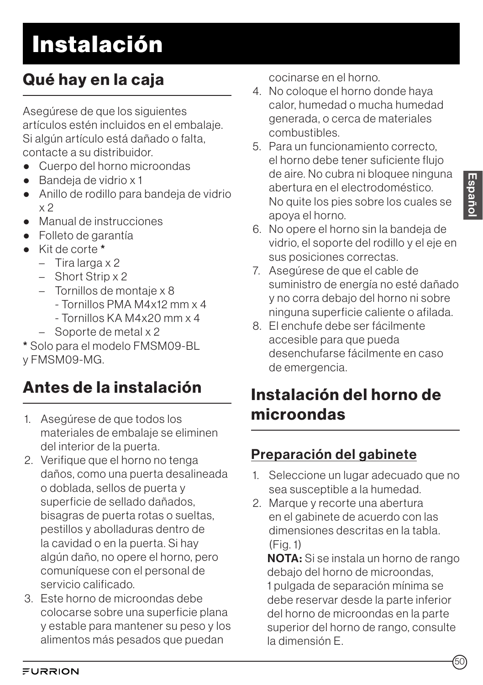# Instalación

## Qué hay en la caja

Asegúrese de que los siguientes artículos estén incluidos en el embalaje. Si algún artículo está dañado o falta, contacte a su distribuidor.

- Cuerpo del horno microondas
- Bandeia de vidrio x 1
- Anillo de rodillo para bandeia de vidrio x 2
- Manual de instrucciones
- Folleto de garantía
- Kit de corte \*
	- Tira larga x 2
	- Short Strip x 2
	- Tornillos de montaje x 8
		- Tornillos PMA M4x12 mm x 4
		- Tornillos KA M4x20 mm x 4
	- Soporte de metal x 2

\* Solo para el modelo FMSM09-BL y FMSM09-MG.

## Antes de la instalación

- 1. Asegúrese de que todos los materiales de embalaje se eliminen del interior de la puerta.
- 2. Verifique que el horno no tenga daños, como una puerta desalineada o doblada, sellos de puerta y superficie de sellado dañados, bisagras de puerta rotas o sueltas, pestillos y abolladuras dentro de la cavidad o en la puerta. Si hay algún daño, no opere el horno, pero comuníquese con el personal de servicio calificado.
- 3. Este horno de microondas debe colocarse sobre una superficie plana y estable para mantener su peso y los alimentos más pesados que puedan

cocinarse en el horno.

- 4. No coloque el horno donde haya calor, humedad o mucha humedad generada, o cerca de materiales combustibles.
- 5. Para un funcionamiento correcto, el horno debe tener suficiente flujo de aire. No cubra ni bloquee ninguna abertura en el electrodoméstico. No quite los pies sobre los cuales se apoya el horno.
- 6. No opere el horno sin la bandeja de vidrio, el soporte del rodillo y el eje en sus posiciones correctas.
- 7. Asegúrese de que el cable de suministro de energía no esté dañado y no corra debajo del horno ni sobre ninguna superficie caliente o afilada.
- 8. El enchufe debe ser fácilmente accesible para que pueda desenchufarse fácilmente en caso de emergencia.

## Instalación del horno de microondas

## Preparación del gabinete

- 1. Seleccione un lugar adecuado que no sea susceptible a la humedad.
- 2. Marque y recorte una abertura en el gabinete de acuerdo con las dimensiones descritas en la tabla. (Fig. 1)

NOTA: Si se instala un horno de rango debajo del horno de microondas, 1 pulgada de separación mínima se debe reservar desde la parte inferior del horno de microondas en la parte superior del horno de rango, consulte la dimensión E.

50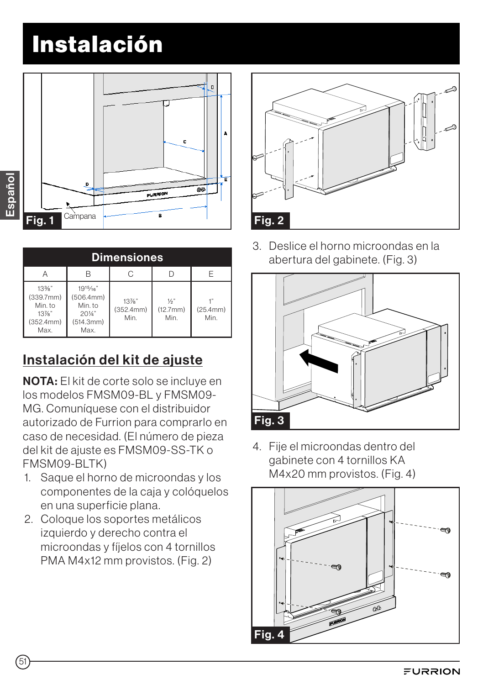# Instalación



| <b>Dimensiones</b>                                                |                                                                               |                               |                                   |                  |
|-------------------------------------------------------------------|-------------------------------------------------------------------------------|-------------------------------|-----------------------------------|------------------|
|                                                                   |                                                                               |                               |                                   |                  |
| $13\%$ "<br>(339.7mm)<br>Min. to<br>$13\%$ "<br>(352.4mm)<br>Max. | $19^{15}/16"$<br>(506.4mm)<br>Min. to<br>$20\frac{1}{4}$<br>(514.3mm)<br>Max. | $13\%$ "<br>(352.4mm)<br>Min. | $\frac{1}{2}$<br>(12.7mm)<br>Min. | (25.4mm)<br>Min. |

## Instalación del kit de ajuste

NOTA: El kit de corte solo se incluye en los modelos FMSM09-BL y FMSM09- MG. Comuníquese con el distribuidor autorizado de Furrion para comprarlo en caso de necesidad. (El número de pieza del kit de ajuste es FMSM09-SS-TK o FMSM09-BLTK)

- 1. Saque el horno de microondas y los componentes de la caja y colóquelos en una superficie plana.
- 2. Coloque los soportes metálicos izquierdo y derecho contra el microondas y fíjelos con 4 tornillos PMA M4x12 mm provistos. (Fig. 2)



3. Deslice el horno microondas en la abertura del gabinete. (Fig. 3)



4. Fije el microondas dentro del gabinete con 4 tornillos KA M4x20 mm provistos. (Fig. 4)



Español

51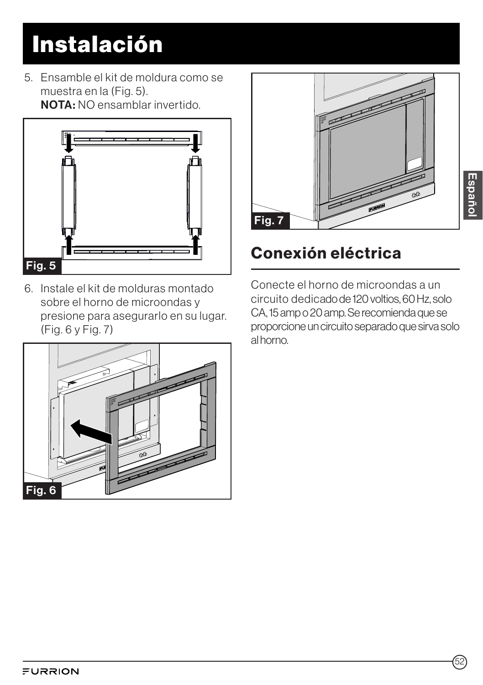# Instalación

5. Ensamble el kit de moldura como se muestra en la (Fig. 5). NOTA: NO ensamblar invertido.



6. Instale el kit de molduras montado sobre el horno de microondas y presione para asegurarlo en su lugar. (Fig. 6 y Fig. 7)





## Conexión eléctrica

Conecte el horno de microondas a un circuito dedicado de 120 voltios, 60 Hz, solo CA, 15 amp o 20 amp. Se recomienda que se proporcione un circuito separado que sirva solo al horno.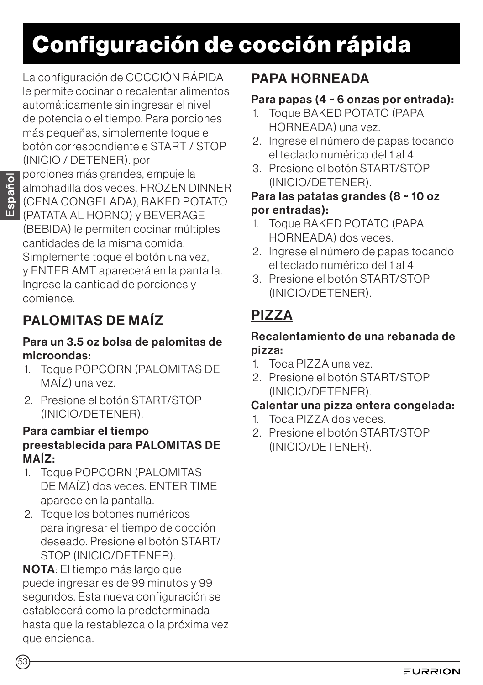# Configuración de cocción rápida

La configuración de COCCIÓN RÁPIDA le permite cocinar o recalentar alimentos automáticamente sin ingresar el nivel de potencia o el tiempo. Para porciones más pequeñas, simplemente toque el botón correspondiente e START / STOP (INICIO / DETENER). por

porciones más grandes, empuje la almohadilla dos veces. FROZEN DINNER (CENA CONGELADA), BAKED POTATO (PATATA AL HORNO) y BEVERAGE (BEBIDA) le permiten cocinar múltiples cantidades de la misma comida. Simplemente toque el botón una vez, y ENTER AMT aparecerá en la pantalla. Ingrese la cantidad de porciones y comience.

## PALOMITAS DE MAÍZ

#### Para un 3.5 oz bolsa de palomitas de microondas:

- 1. Toque POPCORN (PALOMITAS DE MAÍZ) una vez.
- 2. Presione el botón START/STOP (INICIO/DETENER).

#### Para cambiar el tiempo preestablecida para PALOMITAS DE MAÍZ:

- 1. Toque POPCORN (PALOMITAS DE MAÍZ) dos veces. ENTER TIME aparece en la pantalla.
- 2. Toque los botones numéricos para ingresar el tiempo de cocción deseado. Presione el botón START/ STOP (INICIO/DETENER).

NOTA: El tiempo más largo que puede ingresar es de 99 minutos y 99 segundos. Esta nueva configuración se establecerá como la predeterminada hasta que la restablezca o la próxima vez que encienda.

## PAPA HORNEADA

### Para papas (4 ~ 6 onzas por entrada):

- 1. Toque BAKED POTATO (PAPA HORNEADA) una vez.
- 2. Ingrese el número de papas tocando el teclado numérico del 1 al 4.
- 3. Presione el botón START/STOP (INICIO/DETENER).

#### Para las patatas grandes (8 ~ 10 oz por entradas):

- 1. Toque BAKED POTATO (PAPA HORNEADA) dos veces.
- 2. Ingrese el número de papas tocando el teclado numérico del 1 al 4.
- 3. Presione el botón START/STOP (INICIO/DETENER).

## PIZZA

#### Recalentamiento de una rebanada de pizza:

- 1. Toca PIZZA una vez.
- 2. Presione el botón START/STOP (INICIO/DETENER).

### Calentar una pizza entera congelada:

- 1. Toca PIZZA dos veces.
- 2. Presione el botón START/STOP (INICIO/DETENER).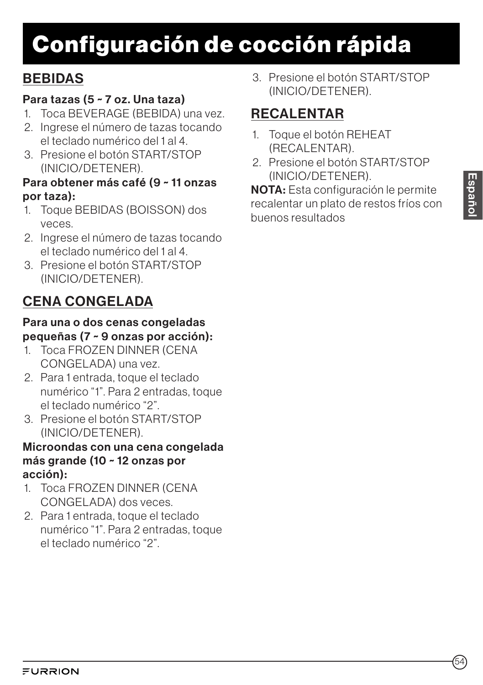# Configuración de cocción rápida

### **BEBIDAS**

### Para tazas (5 ~ 7 oz. Una taza)

- 1. Toca BEVERAGE (BEBIDA) una vez.
- 2. Ingrese el número de tazas tocando el teclado numérico del 1 al 4.
- 3. Presione el botón START/STOP (INICIO/DETENER).

### Para obtener más café (9 ~ 11 onzas por taza):

- 1. Toque BEBIDAS (BOISSON) dos veces.
- 2. Ingrese el número de tazas tocando el teclado numérico del 1 al 4.
- 3. Presione el botón START/STOP (INICIO/DETENER).

## CENA CONGELADA

#### Para una o dos cenas congeladas pequeñas (7 ~ 9 onzas por acción):

- 1. Toca FROZEN DINNER (CENA CONGELADA) una vez.
- 2. Para 1 entrada, toque el teclado numérico "1". Para 2 entradas, toque el teclado numérico "2".
- 3. Presione el botón START/STOP (INICIO/DETENER).

#### Microondas con una cena congelada más grande (10 ~ 12 onzas por acción):

- 1. Toca FROZEN DINNER (CENA CONGELADA) dos veces.
- 2. Para 1 entrada, toque el teclado numérico "1". Para 2 entradas, toque el teclado numérico "2".

3. Presione el botón START/STOP (INICIO/DETENER).

## RECALENTAR

- 1. Toque el botón REHEAT (RECALENTAR).
- 2. Presione el botón START/STOP (INICIO/DETENER).

NOTA: Esta configuración le permite recalentar un plato de restos fríos con buenos resultados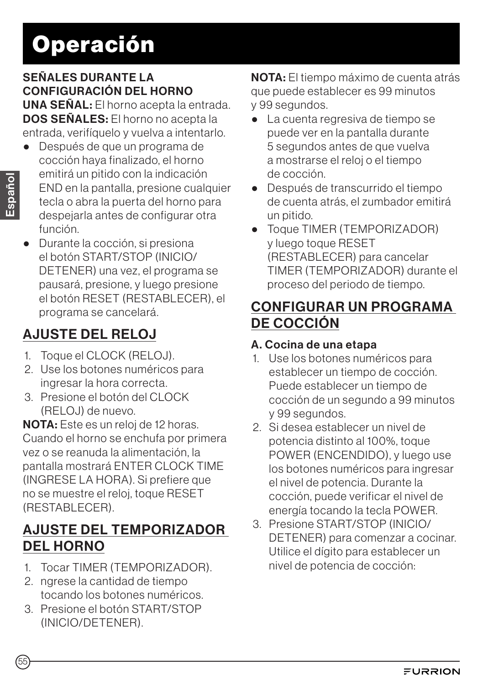#### SEÑALES DURANTE LA CONFIGURACIÓN DEL HORNO UNA SEÑAL: El horno acepta la entrada. DOS SEÑALES: El horno no acepta la entrada, verifíquelo y vuelva a intentarlo.

- Después de que un programa de cocción haya finalizado, el horno emitirá un pitido con la indicación END en la pantalla, presione cualquier tecla o abra la puerta del horno para despejarla antes de configurar otra función.
- Durante la cocción, si presiona el botón START/STOP (INICIO/ DETENER) una vez, el programa se pausará, presione, y luego presione el botón RESET (RESTABLECER), el programa se cancelará.

## AJUSTE DEL RELOJ

- 1. Toque el CLOCK (RELOJ).
- 2. Use los botones numéricos para ingresar la hora correcta.
- 3. Presione el botón del CLOCK (RELOJ) de nuevo.

NOTA: Este es un reloj de 12 horas. Cuando el horno se enchufa por primera vez o se reanuda la alimentación, la pantalla mostrará ENTER CLOCK TIME (INGRESE LA HORA). Si prefiere que no se muestre el reloj, toque RESET (RESTABLECER).

## AJUSTE DEL TEMPORIZADOR DEL HORNO

- 1. Tocar TIMER (TEMPORIZADOR).
- 2. ngrese la cantidad de tiempo tocando los botones numéricos.
- 3. Presione el botón START/STOP (INICIO/DETENER).

NOTA: El tiempo máximo de cuenta atrás que puede establecer es 99 minutos y 99 segundos.

- La cuenta regresiva de tiempo se puede ver en la pantalla durante 5 segundos antes de que vuelva a mostrarse el reloj o el tiempo de cocción.
- Después de transcurrido el tiempo de cuenta atrás, el zumbador emitirá un pitido.
- Toque TIMER (TEMPORIZADOR) y luego toque RESET (RESTABLECER) para cancelar TIMER (TEMPORIZADOR) durante el proceso del periodo de tiempo.

### CONFIGURAR UN PROGRAMA DE COCCIÓN

### A. Cocina de una etapa

- 1. Use los botones numéricos para establecer un tiempo de cocción. Puede establecer un tiempo de cocción de un segundo a 99 minutos y 99 segundos.
- 2. Si desea establecer un nivel de potencia distinto al 100%, toque POWER (ENCENDIDO), y luego use los botones numéricos para ingresar el nivel de potencia. Durante la cocción, puede verificar el nivel de energía tocando la tecla POWER.
- 3. Presione START/STOP (INICIO/ DETENER) para comenzar a cocinar. Utilice el dígito para establecer un nivel de potencia de cocción: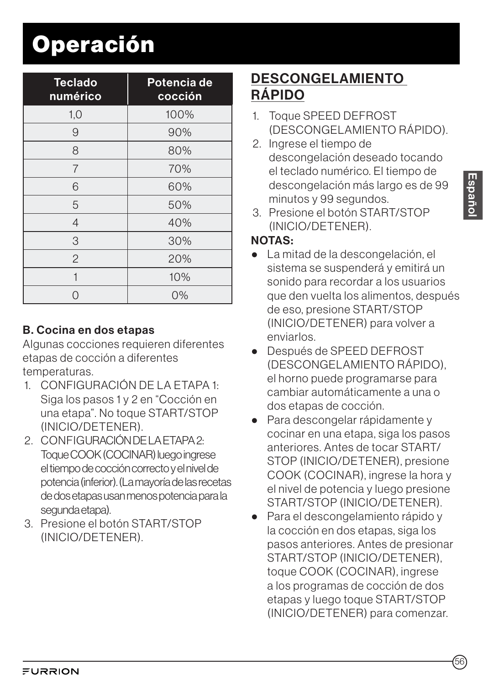| <b>Teclado</b><br>numérico | Potencia de<br>cocción |
|----------------------------|------------------------|
| 1,0                        | 100%                   |
| 9                          | 90%                    |
| 8                          | 80%                    |
| 7                          | 70%                    |
| 6                          | 60%                    |
| 5                          | 50%                    |
| $\overline{4}$             | 40%                    |
| 3                          | 30%                    |
| $\overline{2}$             | 20%                    |
| 1                          | 10%                    |
|                            | $0\%$                  |

### B. Cocina en dos etapas

Algunas cocciones requieren diferentes etapas de cocción a diferentes temperaturas.

- 1. CONFIGURACIÓN DE LA ETAPA 1: Siga los pasos 1 y 2 en "Cocción en una etapa". No toque START/STOP (INICIO/DETENER).
- 2. CONFIGURACIÓN DE LA ETAPA 2: Toque COOK (COCINAR) luego ingrese el tiempo de cocción correcto y el nivel de potencia (inferior). (La mayoría de las recetas de dos etapas usan menos potencia para la segunda etapa).
- 3. Presione el botón START/STOP (INICIO/DETENER).

## DESCONGELAMIENTO RÁPIDO

- 1. Toque SPEED DEFROST (DESCONGELAMIENTO RÁPIDO).
- 2. Ingrese el tiempo de descongelación deseado tocando el teclado numérico. El tiempo de descongelación más largo es de 99 minutos y 99 segundos.
- 3. Presione el botón START/STOP (INICIO/DETENER).

### NOTAS:

- La mitad de la descongelación, el sistema se suspenderá y emitirá un sonido para recordar a los usuarios que den vuelta los alimentos, después de eso, presione START/STOP (INICIO/DETENER) para volver a enviarlos.
- Después de SPEED DEFROST (DESCONGELAMIENTO RÁPIDO), el horno puede programarse para cambiar automáticamente a una o dos etapas de cocción.
- Para descongelar rápidamente y cocinar en una etapa, siga los pasos anteriores. Antes de tocar START/ STOP (INICIO/DETENER), presione COOK (COCINAR), ingrese la hora y el nivel de potencia y luego presione START/STOP (INICIO/DETENER).
- Para el descongelamiento rápido y la cocción en dos etapas, siga los pasos anteriores. Antes de presionar START/STOP (INICIO/DETENER), toque COOK (COCINAR), ingrese a los programas de cocción de dos etapas y luego toque START/STOP (INICIO/DETENER) para comenzar.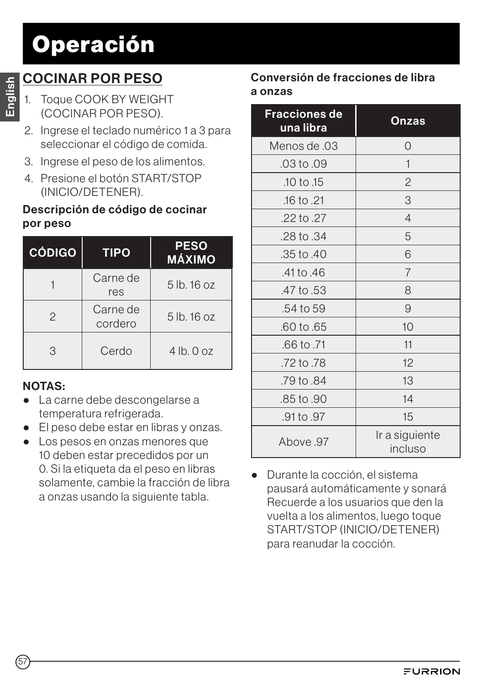## COCINAR POR PESO

- 1. Toque COOK BY WEIGHT (COCINAR POR PESO).
- 2. Ingrese el teclado numérico 1 a 3 para seleccionar el código de comida.
- 3. Ingrese el peso de los alimentos.
- 4. Presione el botón START/STOP (INICIO/DETENER).

#### Descripción de código de cocinar por peso

| <b>CÓDIGO</b> | <b>TIPO</b>         | <b>PESO</b><br><b>MÁXIMO</b> |
|---------------|---------------------|------------------------------|
|               | Carne de<br>res     | 5 lb. 16 oz                  |
| $\mathcal{P}$ | Carne de<br>cordero | $5$ lb. $16$ oz              |
| 3             | Cerdo               | $4$ lb. $0$ oz               |

### NOTAS:

- La carne debe descongelarse a temperatura refrigerada.
- El peso debe estar en libras y onzas.
- Los pesos en onzas menores que 10 deben estar precedidos por un 0. Si la etiqueta da el peso en libras solamente, cambie la fracción de libra a onzas usando la siguiente tabla.

#### Conversión de fracciones de libra a onzas

| <b>Fracciones de</b><br>una lib <u>ra</u> | Onzas                     |
|-------------------------------------------|---------------------------|
| Menos de .03                              | 0                         |
| .03 to .09                                | 1                         |
| .10 to .15                                | $\overline{2}$            |
| .16 to .21                                | 3                         |
| .22 to .27                                | $\overline{4}$            |
| .28 to .34                                | 5                         |
| .35 to .40                                | 6                         |
| .41 to .46                                | $\overline{7}$            |
| .47 to .53                                | 8                         |
| .54 to 59                                 | 9                         |
| .60 to .65                                | 10                        |
| .66 to .71                                | 11                        |
| .72 to .78                                | 12                        |
| .79 to .84                                | 13                        |
| .85 to .90                                | 14                        |
| .91 to .97                                | 15                        |
| 87. Above                                 | Ir a siguiente<br>incluso |

● Durante la cocción, el sistema pausará automáticamente y sonará Recuerde a los usuarios que den la vuelta a los alimentos, luego toque START/STOP (INICIO/DETENER) para reanudar la cocción.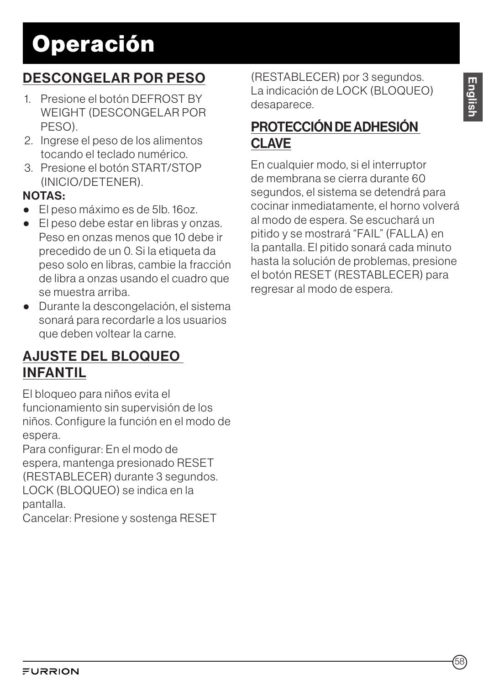## DESCONGELAR POR PESO

- 1. Presione el botón DEFROST BY WEIGHT (DESCONGELAR POR PESO).
- 2. Ingrese el peso de los alimentos tocando el teclado numérico.
- 3. Presione el botón START/STOP (INICIO/DETENER).

### NOTAS:

- El peso máximo es de 5lb. 16oz.
- El peso debe estar en libras y onzas. Peso en onzas menos que 10 debe ir precedido de un 0. Si la etiqueta da peso solo en libras, cambie la fracción de libra a onzas usando el cuadro que se muestra arriba.
- Durante la descongelación, el sistema sonará para recordarle a los usuarios que deben voltear la carne.

## AJUSTE DEL BLOQUEO INFANTIL

El bloqueo para niños evita el funcionamiento sin supervisión de los niños. Configure la función en el modo de espera.

Para configurar: En el modo de espera, mantenga presionado RESET (RESTABLECER) durante 3 segundos. LOCK (BLOQUEO) se indica en la pantalla.

Cancelar: Presione y sostenga RESET

(RESTABLECER) por 3 segundos. La indicación de LOCK (BLOQUEO) desaparece.

## PROTECCIÓN DE ADHESIÓN CLAVE

En cualquier modo, si el interruptor de membrana se cierra durante 60 segundos, el sistema se detendrá para cocinar inmediatamente, el horno volverá al modo de espera. Se escuchará un pitido y se mostrará "FAIL" (FALLA) en la pantalla. El pitido sonará cada minuto hasta la solución de problemas, presione el botón RESET (RESTABLECER) para regresar al modo de espera.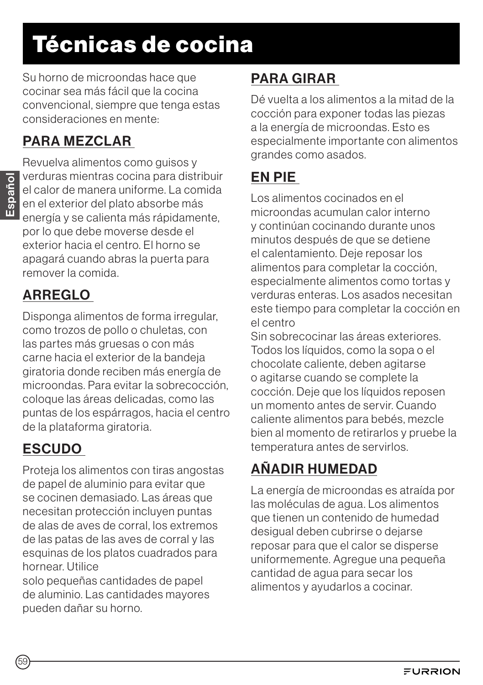# Técnicas de cocina

Su horno de microondas hace que cocinar sea más fácil que la cocina convencional, siempre que tenga estas consideraciones en mente:

## PARA MEZCLAR

Revuelva alimentos como guisos y verduras mientras cocina para distribuir el calor de manera uniforme. La comida en el exterior del plato absorbe más energía y se calienta más rápidamente, por lo que debe moverse desde el exterior hacia el centro. El horno se apagará cuando abras la puerta para remover la comida.

## ARREGLO

Disponga alimentos de forma irregular, como trozos de pollo o chuletas, con las partes más gruesas o con más carne hacia el exterior de la bandeja giratoria donde reciben más energía de microondas. Para evitar la sobrecocción, coloque las áreas delicadas, como las puntas de los espárragos, hacia el centro de la plataforma giratoria.

## ESCUDO

Proteja los alimentos con tiras angostas de papel de aluminio para evitar que se cocinen demasiado. Las áreas que necesitan protección incluyen puntas de alas de aves de corral, los extremos de las patas de las aves de corral y las esquinas de los platos cuadrados para hornear. Utilice

solo pequeñas cantidades de papel de aluminio. Las cantidades mayores pueden dañar su horno.

## PARA GIRAR

Dé vuelta a los alimentos a la mitad de la cocción para exponer todas las piezas a la energía de microondas. Esto es especialmente importante con alimentos grandes como asados.

## EN PIE

Los alimentos cocinados en el microondas acumulan calor interno y continúan cocinando durante unos minutos después de que se detiene el calentamiento. Deje reposar los alimentos para completar la cocción, especialmente alimentos como tortas y verduras enteras. Los asados necesitan este tiempo para completar la cocción en el centro

Sin sobrecocinar las áreas exteriores. Todos los líquidos, como la sopa o el chocolate caliente, deben agitarse o agitarse cuando se complete la cocción. Deje que los líquidos reposen un momento antes de servir. Cuando caliente alimentos para bebés, mezcle bien al momento de retirarlos y pruebe la temperatura antes de servirlos.

## AÑADIR HUMEDAD

La energía de microondas es atraída por las moléculas de agua. Los alimentos que tienen un contenido de humedad desigual deben cubrirse o dejarse reposar para que el calor se disperse uniformemente. Agregue una pequeña cantidad de agua para secar los alimentos y ayudarlos a cocinar.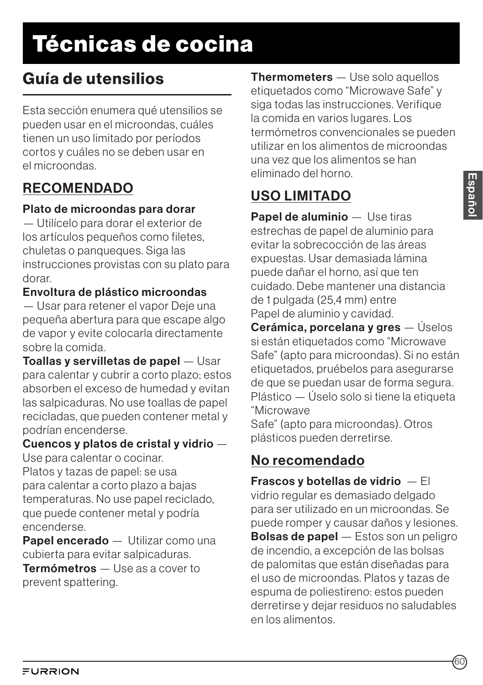# Técnicas de cocina

## Guía de utensilios

Esta sección enumera qué utensilios se pueden usar en el microondas, cuáles tienen un uso limitado por períodos cortos y cuáles no se deben usar en el microondas.

## RECOMENDADO

#### Plato de microondas para dorar

— Utilícelo para dorar el exterior de los artículos pequeños como filetes, chuletas o panqueques. Siga las instrucciones provistas con su plato para dorar.

#### Envoltura de plástico microondas

— Usar para retener el vapor Deje una pequeña abertura para que escape algo de vapor y evite colocarla directamente sobre la comida.

Toallas y servilletas de papel — Usar para calentar y cubrir a corto plazo; estos absorben el exceso de humedad y evitan las salpicaduras. No use toallas de papel recicladas, que pueden contener metal y podrían encenderse.

## Cuencos y platos de cristal y vidrio —

Use para calentar o cocinar.

Platos y tazas de papel: se usa para calentar a corto plazo a bajas temperaturas. No use papel reciclado, que puede contener metal y podría encenderse.

Papel encerado — Utilizar como una cubierta para evitar salpicaduras. Termómetros — Use as a cover to

prevent spattering.

**Thermometers** — Use solo aquellos etiquetados como "Microwave Safe" y siga todas las instrucciones. Verifique la comida en varios lugares. Los termómetros convencionales se pueden utilizar en los alimentos de microondas una vez que los alimentos se han eliminado del horno.

## USO LIMITADO

Papel de aluminio — Use tiras estrechas de papel de aluminio para evitar la sobrecocción de las áreas expuestas. Usar demasiada lámina puede dañar el horno, así que ten cuidado. Debe mantener una distancia de 1 pulgada (25,4 mm) entre Papel de aluminio y cavidad.

Cerámica, porcelana y gres — Úselos si están etiquetados como "Microwave Safe" (apto para microondas). Si no están etiquetados, pruébelos para asegurarse de que se puedan usar de forma segura. Plástico — Úselo solo si tiene la etiqueta "Microwave

Safe" (apto para microondas). Otros plásticos pueden derretirse.

## No recomendado

Frascos y botellas de vidrio — El vidrio regular es demasiado delgado para ser utilizado en un microondas. Se puede romper y causar daños y lesiones. Bolsas de papel — Estos son un peligro de incendio, a excepción de las bolsas de palomitas que están diseñadas para el uso de microondas. Platos y tazas de espuma de poliestireno: estos pueden derretirse y dejar residuos no saludables en los alimentos.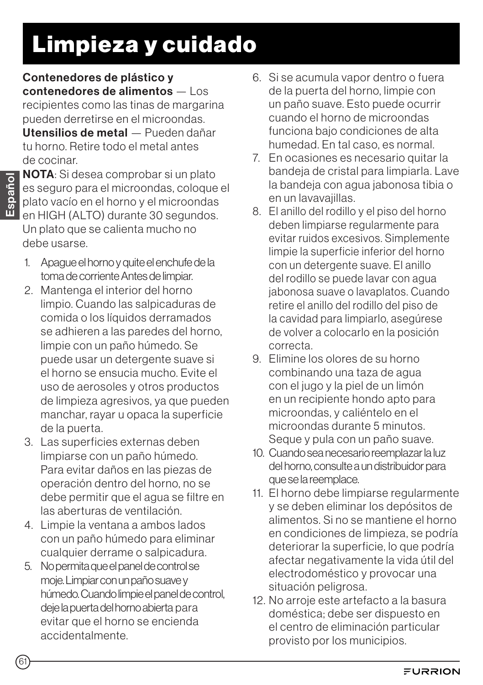# Limpieza y cuidado

Contenedores de plástico y contenedores de alimentos — Los recipientes como las tinas de margarina pueden derretirse en el microondas. Utensilios de metal — Pueden dañar tu horno. Retire todo el metal antes de cocinar.

NOTA: Si desea comprobar si un plato es seguro para el microondas, coloque el plato vacío en el horno y el microondas en HIGH (ALTO) durante 30 segundos. Un plato que se calienta mucho no debe usarse.

- 1. Apague el horno y quite el enchufe de la toma de corriente Antes de limpiar.
- 2. Mantenga el interior del horno limpio. Cuando las salpicaduras de comida o los líquidos derramados se adhieren a las paredes del horno, limpie con un paño húmedo. Se puede usar un detergente suave si el horno se ensucia mucho. Evite el uso de aerosoles y otros productos de limpieza agresivos, ya que pueden manchar, rayar u opaca la superficie de la puerta.
- 3. Las superficies externas deben limpiarse con un paño húmedo. Para evitar daños en las piezas de operación dentro del horno, no se debe permitir que el agua se filtre en las aberturas de ventilación.
- 4. Limpie la ventana a ambos lados con un paño húmedo para eliminar cualquier derrame o salpicadura.
- 5. No permita que el panel de control se moje. Limpiar con un paño suave y húmedo. Cuando limpie el panel de control, deje la puerta del horno abierta para evitar que el horno se encienda accidentalmente.
- 6. Si se acumula vapor dentro o fuera de la puerta del horno, limpie con un paño suave. Esto puede ocurrir cuando el horno de microondas funciona bajo condiciones de alta humedad. En tal caso, es normal.
- 7. En ocasiones es necesario quitar la bandeja de cristal para limpiarla. Lave la bandeja con agua jabonosa tibia o en un lavavajillas.
- 8. El anillo del rodillo y el piso del horno deben limpiarse regularmente para evitar ruidos excesivos. Simplemente limpie la superficie inferior del horno con un detergente suave. El anillo del rodillo se puede lavar con agua jabonosa suave o lavaplatos. Cuando retire el anillo del rodillo del piso de la cavidad para limpiarlo, asegúrese de volver a colocarlo en la posición correcta.
- 9. Elimine los olores de su horno combinando una taza de agua con el jugo y la piel de un limón en un recipiente hondo apto para microondas, y caliéntelo en el microondas durante 5 minutos. Seque y pula con un paño suave.
- 10. Cuando sea necesario reemplazar la luz del horno, consulte a un distribuidor para que se la reemplace.
- 11. El horno debe limpiarse regularmente y se deben eliminar los depósitos de alimentos. Si no se mantiene el horno en condiciones de limpieza, se podría deteriorar la superficie, lo que podría afectar negativamente la vida útil del electrodoméstico y provocar una situación peligrosa.
- 12. No arroje este artefacto a la basura doméstica; debe ser dispuesto en el centro de eliminación particular provisto por los municipios.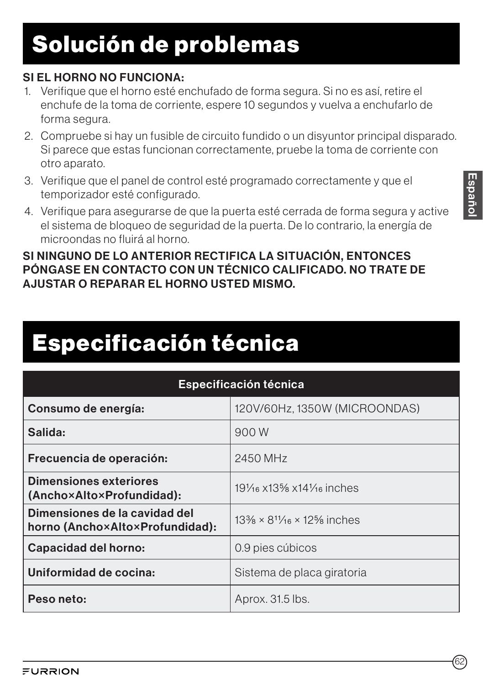# Solución de problemas

### SI EL HORNO NO FUNCIONA:

- 1. Verifique que el horno esté enchufado de forma segura. Si no es así, retire el enchufe de la toma de corriente, espere 10 segundos y vuelva a enchufarlo de forma segura.
- 2. Compruebe si hay un fusible de circuito fundido o un disyuntor principal disparado. Si parece que estas funcionan correctamente, pruebe la toma de corriente con otro aparato.
- 3. Verifique que el panel de control esté programado correctamente y que el temporizador esté configurado.
- 4. Verifique para asegurarse de que la puerta esté cerrada de forma segura y active el sistema de bloqueo de seguridad de la puerta. De lo contrario, la energía de microondas no fluirá al horno.

#### SI NINGUNO DE LO ANTERIOR RECTIFICA LA SITUACIÓN, ENTONCES PÓNGASE EN CONTACTO CON UN TÉCNICO CALIFICADO. NO TRATE DE AJUSTAR O REPARAR EL HORNO USTED MISMO.

# Especificación técnica

| <b>Especificación técnica</b>                                    |                                            |
|------------------------------------------------------------------|--------------------------------------------|
| Consumo de energía:                                              | 120V/60Hz, 1350W (MICROONDAS)              |
| Salida:                                                          | 900 W                                      |
| Frecuencia de operación:                                         | 2450 MHz                                   |
| Dimensiones exteriores<br>(Ancho×Alto×Profundidad):              | $19\%$ x $13\%$ x $14\%$ inches            |
| Dimensiones de la cavidad del<br>horno (Ancho×Alto×Profundidad): | $13\% \times 8^{11/16} \times 12\%$ inches |
| Capacidad del horno:                                             | 0.9 pies cúbicos                           |
| Uniformidad de cocina:                                           | Sistema de placa giratoria                 |
| Peso neto:                                                       | Aprox. 31.5 lbs.                           |